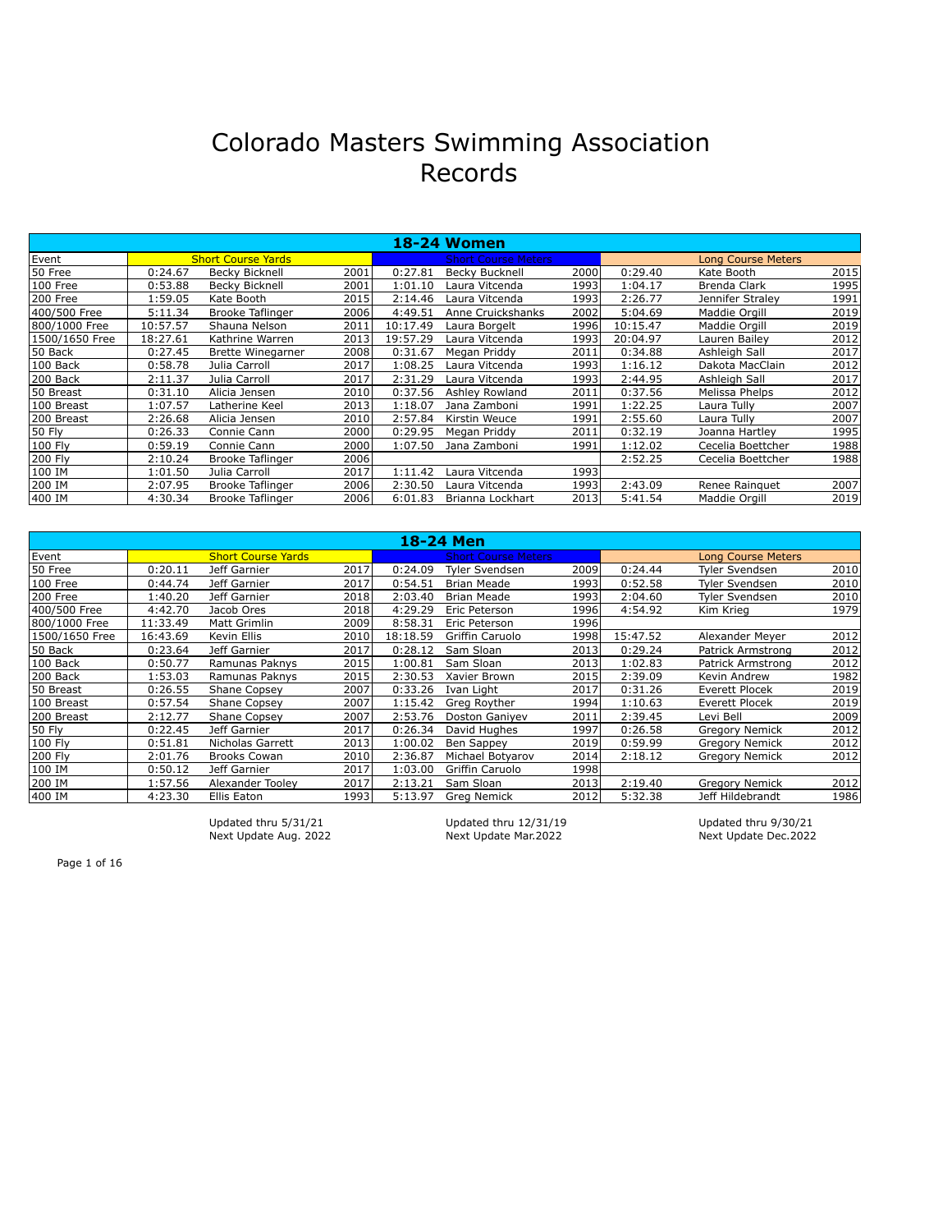|                |          |                           |       |          | <b>18-24 Women</b>         |      |          |                           |      |
|----------------|----------|---------------------------|-------|----------|----------------------------|------|----------|---------------------------|------|
| Event          |          | <b>Short Course Yards</b> |       |          | <b>Short Course Meters</b> |      |          | <b>Long Course Meters</b> |      |
| 50 Free        | 0:24.67  | <b>Becky Bicknell</b>     | 2001  | 0:27.81  | Becky Bucknell             | 2000 | 0:29.40  | Kate Booth                | 2015 |
| 100 Free       | 0:53.88  | <b>Becky Bicknell</b>     | 2001  | 1:01.10  | Laura Vitcenda             | 1993 | 1:04.17  | Brenda Clark              | 1995 |
| 200 Free       | 1:59.05  | Kate Booth                | 2015  | 2:14.46  | Laura Vitcenda             | 1993 | 2:26.77  | Jennifer Straley          | 1991 |
| 400/500 Free   | 5:11.34  | Brooke Taflinger          | 2006  | 4:49.51  | Anne Cruickshanks          | 2002 | 5:04.69  | Maddie Orgill             | 2019 |
| 800/1000 Free  | 10:57.57 | Shauna Nelson             | 2011  | 10:17.49 | Laura Borgelt              | 1996 | 10:15.47 | Maddie Orgill             | 2019 |
| 1500/1650 Free | 18:27.61 | Kathrine Warren           | 2013  | 19:57.29 | Laura Vitcenda             | 1993 | 20:04.97 | Lauren Bailev             | 2012 |
| 50 Back        | 0:27.45  | Brette Winegarner         | 2008  | 0:31.67  | Megan Priddy               | 2011 | 0:34.88  | Ashleigh Sall             | 2017 |
| 100 Back       | 0:58.78  | Julia Carroll             | 2017  | 1:08.25  | Laura Vitcenda             | 1993 | 1:16.12  | Dakota MacClain           | 2012 |
| 200 Back       | 2:11.37  | Julia Carroll             | 2017  | 2:31.29  | Laura Vitcenda             | 1993 | 2:44.95  | Ashleigh Sall             | 2017 |
| 50 Breast      | 0:31.10  | Alicia Jensen             | 2010l | 0:37.56  | Ashley Rowland             | 2011 | 0:37.56  | Melissa Phelps            | 2012 |
| 100 Breast     | 1:07.57  | Latherine Keel            | 2013  | 1:18.07  | Jana Zamboni               | 1991 | 1:22.25  | Laura Tully               | 2007 |
| 200 Breast     | 2:26.68  | Alicia Jensen             | 2010l | 2:57.84  | Kirstin Weuce              | 1991 | 2:55.60  | Laura Tullv               | 2007 |
| 50 Fly         | 0:26.33  | Connie Cann               | 2000l | 0:29.95  | Megan Priddy               | 2011 | 0:32.19  | Joanna Hartley            | 1995 |
| 100 Fly        | 0:59.19  | Connie Cann               | 2000l | 1:07.50  | Jana Zamboni               | 1991 | 1:12.02  | Cecelia Boettcher         | 1988 |
| 200 Fly        | 2:10.24  | Brooke Taflinger          | 2006l |          |                            |      | 2:52.25  | Cecelia Boettcher         | 1988 |
| 100 IM         | 1:01.50  | Julia Carroll             | 2017  | 1:11.42  | Laura Vitcenda             | 1993 |          |                           |      |
| 200 IM         | 2:07.95  | Brooke Taflinger          | 2006l | 2:30.50  | Laura Vitcenda             | 1993 | 2:43.09  | Renee Rainquet            | 2007 |
| 400 IM         | 4:30.34  | Brooke Taflinger          | 2006l | 6:01.83  | Brianna Lockhart           | 2013 | 5:41.54  | Maddie Orgill             | 2019 |

|                |          |                           |       |          | 18-24 Men                  |      |          |                           |      |
|----------------|----------|---------------------------|-------|----------|----------------------------|------|----------|---------------------------|------|
| Event          |          | <b>Short Course Yards</b> |       |          | <b>Short Course Meters</b> |      |          | <b>Long Course Meters</b> |      |
| 50 Free        | 0:20.11  | Jeff Garnier              | 2017  | 0:24.09  | <b>Tyler Svendsen</b>      | 2009 | 0:24.44  | <b>Tyler Svendsen</b>     | 2010 |
| 100 Free       | 0:44.74  | Jeff Garnier              | 2017  | 0:54.51  | <b>Brian Meade</b>         | 1993 | 0:52.58  | <b>Tyler Svendsen</b>     | 2010 |
| 200 Free       | 1:40.20  | Jeff Garnier              | 2018l | 2:03.40  | <b>Brian Meade</b>         | 1993 | 2:04.60  | Tyler Svendsen            | 2010 |
| 400/500 Free   | 4:42.70  | Jacob Ores                | 2018l | 4:29.29  | Eric Peterson              | 1996 | 4:54.92  | Kim Krieg                 | 1979 |
| 800/1000 Free  | 11:33.49 | Matt Grimlin              | 2009  | 8:58.31  | Eric Peterson              | 1996 |          |                           |      |
| 1500/1650 Free | 16:43.69 | Kevin Ellis               | 2010  | 18:18.59 | Griffin Caruolo            | 1998 | 15:47.52 | Alexander Meyer           | 2012 |
| 50 Back        | 0:23.64  | Jeff Garnier              | 2017  | 0:28.12  | Sam Sloan                  | 2013 | 0:29.24  | Patrick Armstrong         | 2012 |
| 100 Back       | 0:50.77  | Ramunas Paknys            | 2015  | 1:00.81  | Sam Sloan                  | 2013 | 1:02.83  | Patrick Armstrong         | 2012 |
| 200 Back       | 1:53.03  | Ramunas Paknys            | 2015  | 2:30.53  | Xavier Brown               | 2015 | 2:39.09  | Kevin Andrew              | 1982 |
| 50 Breast      | 0:26.55  | <b>Shane Copsey</b>       | 2007  | 0:33.26  | Ivan Light                 | 2017 | 0:31.26  | Everett Plocek            | 2019 |
| 100 Breast     | 0:57.54  | <b>Shane Copsey</b>       | 2007  | 1:15.42  | Greg Royther               | 1994 | 1:10.63  | Everett Plocek            | 2019 |
| 200 Breast     | 2:12.77  | <b>Shane Copsey</b>       | 2007  | 2:53.76  | Doston Ganivev             | 2011 | 2:39.45  | Levi Bell                 | 2009 |
| 50 Fly         | 0:22.45  | Jeff Garnier              | 2017  | 0:26.34  | David Hughes               | 1997 | 0:26.58  | <b>Gregory Nemick</b>     | 2012 |
| 100 Fly        | 0:51.81  | Nicholas Garrett          | 2013  | 1:00.02  | Ben Sappey                 | 2019 | 0:59.99  | <b>Gregory Nemick</b>     | 2012 |
| 200 Fly        | 2:01.76  | <b>Brooks Cowan</b>       | 2010l | 2:36.87  | Michael Botyarov           | 2014 | 2:18.12  | <b>Gregory Nemick</b>     | 2012 |
| 100 IM         | 0:50.12  | Jeff Garnier              | 2017  | 1:03.00  | Griffin Caruolo            | 1998 |          |                           |      |
| 200 IM         | 1:57.56  | Alexander Toolev          | 2017  | 2:13.21  | Sam Sloan                  | 2013 | 2:19.40  | <b>Gregory Nemick</b>     | 2012 |
| 400 IM         | 4:23.30  | Ellis Eaton               | 1993  | 5:13.97  | Greg Nemick                | 2012 | 5:32.38  | Jeff Hildebrandt          | 1986 |

Next Update Aug. 2022 Next Update Mar.2022 Next Update Dec.2022

Updated thru 5/31/21 Updated thru 12/31/19 Updated thru 9/30/21

Page 1 of 16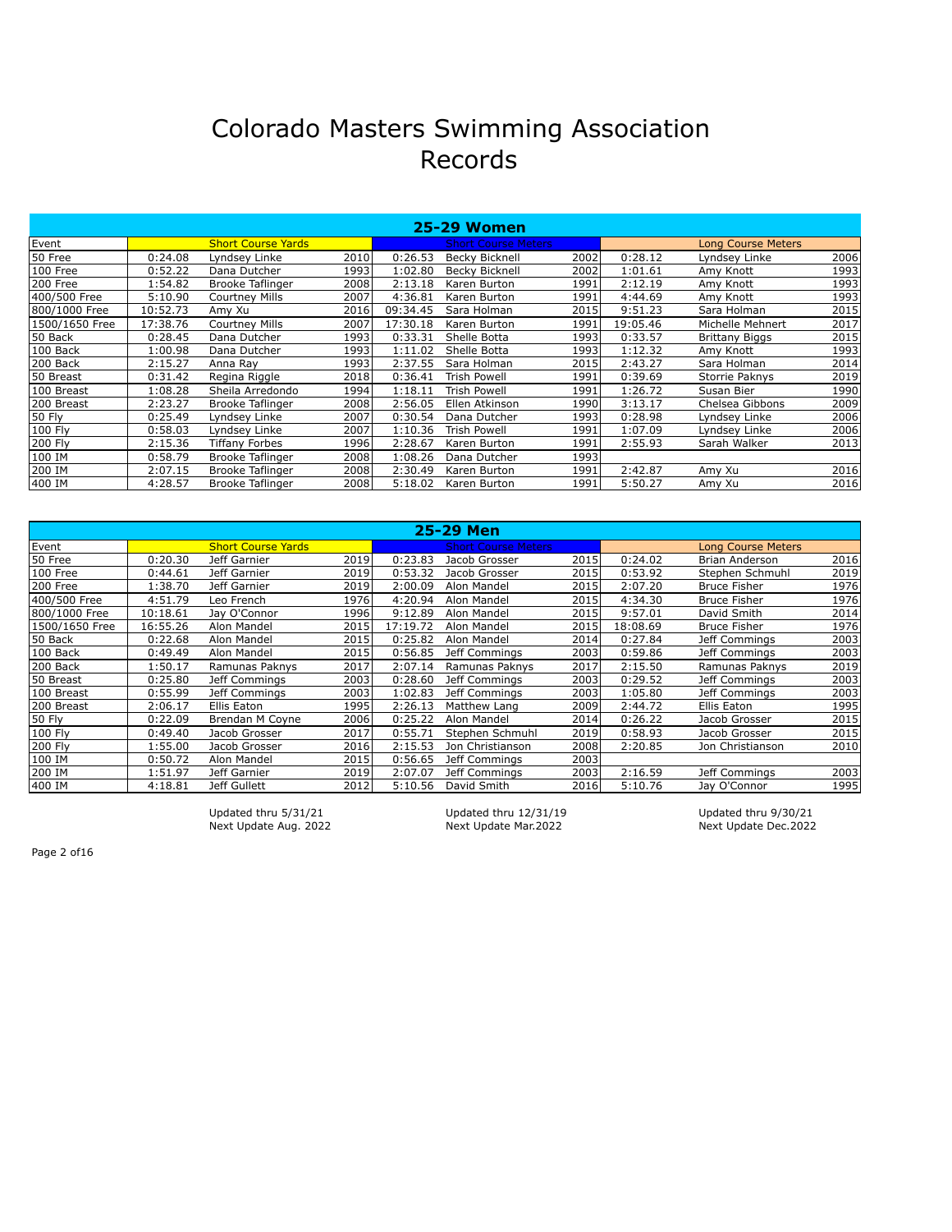|                |          |                           |       |          | <b>25-29 Women</b>         |      |          |                           |      |
|----------------|----------|---------------------------|-------|----------|----------------------------|------|----------|---------------------------|------|
| Event          |          | <b>Short Course Yards</b> |       |          | <b>Short Course Meters</b> |      |          | <b>Long Course Meters</b> |      |
| 50 Free        | 0:24.08  | Lyndsey Linke             | 2010  | 0:26.53  | <b>Becky Bicknell</b>      | 2002 | 0:28.12  | Lyndsey Linke             | 2006 |
| 100 Free       | 0:52.22  | Dana Dutcher              | 1993  | 1:02.80  | Becky Bicknell             | 2002 | 1:01.61  | Amy Knott                 | 1993 |
| 200 Free       | 1:54.82  | Brooke Taflinger          | 2008  | 2:13.18  | Karen Burton               | 1991 | 2:12.19  | Amy Knott                 | 1993 |
| 400/500 Free   | 5:10.90  | <b>Courtney Mills</b>     | 2007  | 4:36.81  | Karen Burton               | 1991 | 4:44.69  | Amy Knott                 | 1993 |
| 800/1000 Free  | 10:52.73 | Amy Xu                    | 2016l | 09:34.45 | Sara Holman                | 2015 | 9:51.23  | Sara Holman               | 2015 |
| 1500/1650 Free | 17:38.76 | Courtney Mills            | 2007  | 17:30.18 | Karen Burton               | 1991 | 19:05.46 | Michelle Mehnert          | 2017 |
| 50 Back        | 0:28.45  | Dana Dutcher              | 1993  | 0:33.31  | Shelle Botta               | 1993 | 0:33.57  | <b>Brittany Biggs</b>     | 2015 |
| 100 Back       | 1:00.98  | Dana Dutcher              | 1993  | 1:11.02  | Shelle Botta               | 1993 | 1:12.32  | Amy Knott                 | 1993 |
| 200 Back       | 2:15.27  | Anna Ray                  | 1993  | 2:37.55  | Sara Holman                | 2015 | 2:43.27  | Sara Holman               | 2014 |
| 50 Breast      | 0:31.42  | Regina Riggle             | 2018l | 0:36.41  | Trish Powell               | 1991 | 0:39.69  | Storrie Paknys            | 2019 |
| 100 Breast     | 1:08.28  | Sheila Arredondo          | 1994  | 1:18.11  | <b>Trish Powell</b>        | 1991 | 1:26.72  | Susan Bier                | 1990 |
| 200 Breast     | 2:23.27  | Brooke Taflinger          | 2008  | 2:56.05  | Ellen Atkinson             | 1990 | 3:13.17  | Chelsea Gibbons           | 2009 |
| <b>50 Fly</b>  | 0:25.49  | Lyndsey Linke             | 2007  | 0:30.54  | Dana Dutcher               | 1993 | 0:28.98  | Lyndsey Linke             | 2006 |
| 100 Fly        | 0:58.03  | Lvndsev Linke             | 2007  | 1:10.36  | <b>Trish Powell</b>        | 1991 | 1:07.09  | Lyndsey Linke             | 2006 |
| 200 Fly        | 2:15.36  | <b>Tiffany Forbes</b>     | 1996  | 2:28.67  | Karen Burton               | 1991 | 2:55.93  | Sarah Walker              | 2013 |
| 100 IM         | 0:58.79  | Brooke Taflinger          | 2008  | 1:08.26  | Dana Dutcher               | 1993 |          |                           |      |
| 200 IM         | 2:07.15  | <b>Brooke Taflinger</b>   | 2008  | 2:30.49  | Karen Burton               | 1991 | 2:42.87  | Amy Xu                    | 2016 |
| 400 IM         | 4:28.57  | <b>Brooke Taflinger</b>   | 2008  | 5:18.02  | Karen Burton               | 1991 | 5:50.27  | Amy Xu                    | 2016 |

|                |          |                           |      |          | 25-29 Men                  |      |          |                           |      |
|----------------|----------|---------------------------|------|----------|----------------------------|------|----------|---------------------------|------|
| Event          |          | <b>Short Course Yards</b> |      |          | <b>Short Course Meters</b> |      |          | <b>Long Course Meters</b> |      |
| 50 Free        | 0:20.30  | Jeff Garnier              | 2019 | 0:23.83  | Jacob Grosser              | 2015 | 0:24.02  | Brian Anderson            | 2016 |
| 100 Free       | 0:44.61  | Jeff Garnier              | 2019 | 0:53.32  | Jacob Grosser              | 2015 | 0:53.92  | Stephen Schmuhl           | 2019 |
| l200 Free      | 1:38.70  | Jeff Garnier              | 2019 | 2:00.09  | Alon Mandel                | 2015 | 2:07.20  | <b>Bruce Fisher</b>       | 1976 |
| 400/500 Free   | 4:51.79  | Leo French                | 1976 | 4:20.94  | Alon Mandel                | 2015 | 4:34.30  | <b>Bruce Fisher</b>       | 1976 |
| 1800/1000 Free | 10:18.61 | Jay O'Connor              | 1996 | 9:12.89  | Alon Mandel                | 2015 | 9:57.01  | David Smith               | 2014 |
| 1500/1650 Free | 16:55.26 | Alon Mandel               | 2015 | 17:19.72 | Alon Mandel                | 2015 | 18:08.69 | <b>Bruce Fisher</b>       | 1976 |
| 50 Back        | 0:22.68  | Alon Mandel               | 2015 | 0:25.82  | Alon Mandel                | 2014 | 0:27.84  | Jeff Commings             | 2003 |
| 100 Back       | 0:49.49  | Alon Mandel               | 2015 | 0:56.85  | Jeff Commings              | 2003 | 0:59.86  | Jeff Commings             | 2003 |
| 200 Back       | 1:50.17  | Ramunas Paknys            | 2017 | 2:07.14  | Ramunas Paknys             | 2017 | 2:15.50  | Ramunas Paknys            | 2019 |
| 50 Breast      | 0:25.80  | Jeff Commings             | 2003 | 0:28.60  | Jeff Commings              | 2003 | 0:29.52  | Jeff Commings             | 2003 |
| 100 Breast     | 0:55.99  | Jeff Commings             | 2003 | 1:02.83  | Jeff Commings              | 2003 | 1:05.80  | Jeff Commings             | 2003 |
| 200 Breast     | 2:06.17  | Ellis Eaton               | 1995 | 2:26.13  | Matthew Lang               | 2009 | 2:44.72  | Ellis Eaton               | 1995 |
| 50 Fly         | 0:22.09  | Brendan M Coyne           | 2006 | 0:25.22  | Alon Mandel                | 2014 | 0:26.22  | Jacob Grosser             | 2015 |
| 100 Fly        | 0:49.40  | Jacob Grosser             | 2017 | 0:55.71  | Stephen Schmuhl            | 2019 | 0:58.93  | Jacob Grosser             | 2015 |
| 200 Fly        | 1:55.00  | Jacob Grosser             | 2016 | 2:15.53  | Jon Christianson           | 2008 | 2:20.85  | Jon Christianson          | 2010 |
| 100 IM         | 0:50.72  | Alon Mandel               | 2015 | 0:56.65  | Jeff Commings              | 2003 |          |                           |      |
| 200 IM         | 1:51.97  | Jeff Garnier              | 2019 | 2:07.07  | Jeff Commings              | 2003 | 2:16.59  | Jeff Commings             | 2003 |
| 1400 IM        | 4:18.81  | Jeff Gullett              | 2012 | 5:10.56  | David Smith                | 2016 | 5:10.76  | Jay O'Connor              | 1995 |

Updated thru 5/31/21 Updated thru 12/31/19 Updated thru 9/30/21 Next Update Aug. 2022 Next Update Mar.2022 Next Update Dec.2022

Page 2 of 16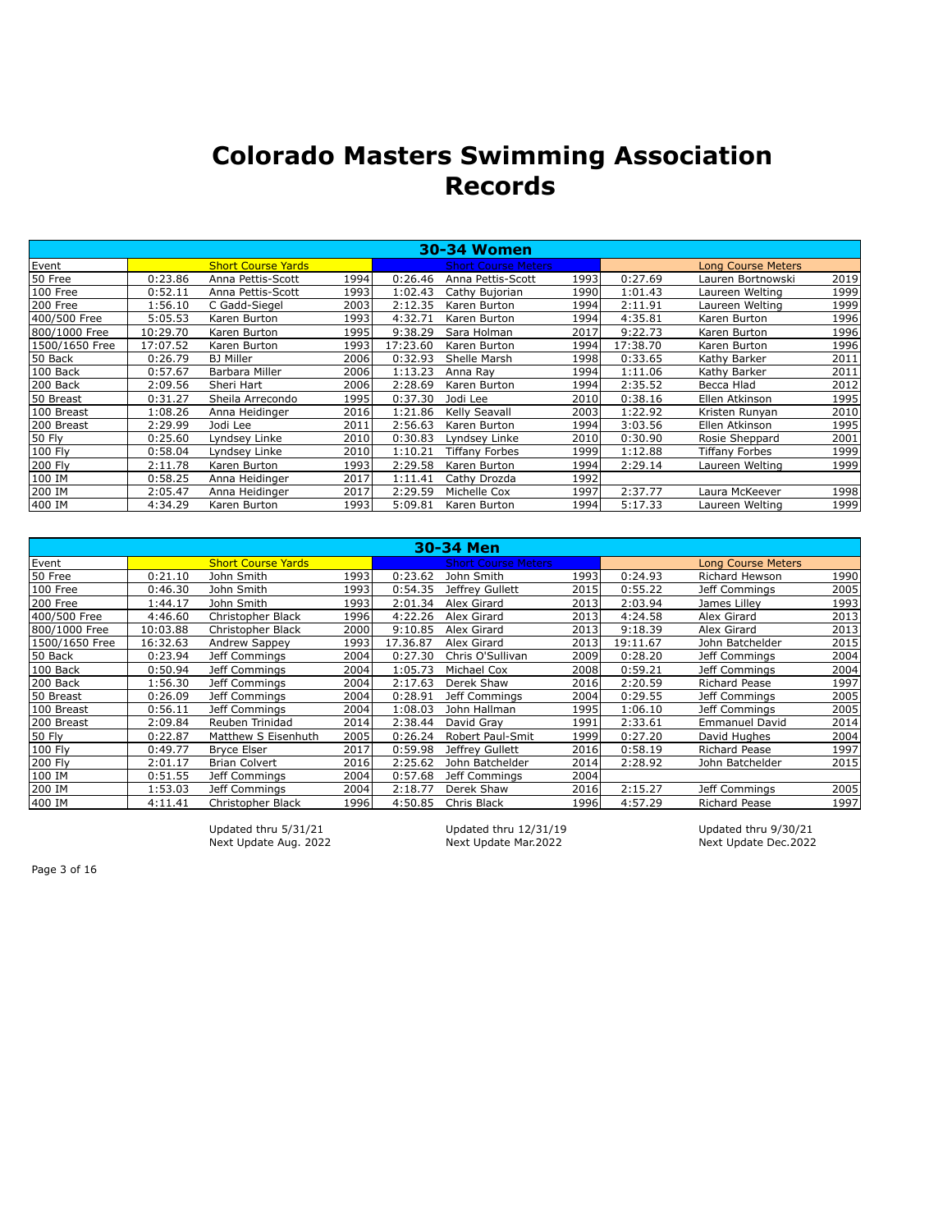|                |          |                           |      |          | <b>30-34 Women</b>         |      |          |                           |      |
|----------------|----------|---------------------------|------|----------|----------------------------|------|----------|---------------------------|------|
| Event          |          | <b>Short Course Yards</b> |      |          | <b>Short Course Meters</b> |      |          | <b>Long Course Meters</b> |      |
| 50 Free        | 0:23.86  | Anna Pettis-Scott         | 1994 | 0:26.46  | Anna Pettis-Scott          | 1993 | 0:27.69  | Lauren Bortnowski         | 2019 |
| 100 Free       | 0:52.11  | Anna Pettis-Scott         | 1993 | 1:02.43  | Cathy Bujorian             | 1990 | 1:01.43  | Laureen Welting           | 1999 |
| 200 Free       | 1:56.10  | C Gadd-Siegel             | 2003 | 2:12.35  | Karen Burton               | 1994 | 2:11.91  | Laureen Welting           | 1999 |
| 400/500 Free   | 5:05.53  | Karen Burton              | 1993 | 4:32.71  | Karen Burton               | 1994 | 4:35.81  | Karen Burton              | 1996 |
| 800/1000 Free  | 10:29.70 | Karen Burton              | 1995 | 9:38.29  | Sara Holman                | 2017 | 9:22.73  | Karen Burton              | 1996 |
| 1500/1650 Free | 17:07.52 | Karen Burton              | 1993 | 17:23.60 | Karen Burton               | 1994 | 17:38.70 | Karen Burton              | 1996 |
| 50 Back        | 0:26.79  | <b>BJ</b> Miller          | 2006 | 0:32.93  | Shelle Marsh               | 1998 | 0:33.65  | Kathy Barker              | 2011 |
| 100 Back       | 0:57.67  | Barbara Miller            | 2006 | 1:13.23  | Anna Ray                   | 1994 | 1:11.06  | Kathy Barker              | 2011 |
| 200 Back       | 2:09.56  | Sheri Hart                | 2006 | 2:28.69  | Karen Burton               | 1994 | 2:35.52  | Becca Hlad                | 2012 |
| 50 Breast      | 0:31.27  | Sheila Arrecondo          | 1995 | 0:37.30  | Jodi Lee                   | 2010 | 0:38.16  | Ellen Atkinson            | 1995 |
| 100 Breast     | 1:08.26  | Anna Heidinger            | 2016 | 1:21.86  | Kelly Seavall              | 2003 | 1:22.92  | Kristen Runyan            | 2010 |
| 200 Breast     | 2:29.99  | Jodi Lee                  | 2011 | 2:56.63  | Karen Burton               | 1994 | 3:03.56  | Ellen Atkinson            | 1995 |
| 50 Fly         | 0:25.60  | Lyndsey Linke             | 2010 | 0:30.83  | Lyndsey Linke              | 2010 | 0:30.90  | Rosie Sheppard            | 2001 |
| 100 Fly        | 0:58.04  | Lyndsey Linke             | 2010 | 1:10.21  | Tiffany Forbes             | 1999 | 1:12.88  | <b>Tiffany Forbes</b>     | 1999 |
| 200 Fly        | 2:11.78  | Karen Burton              | 1993 | 2:29.58  | Karen Burton               | 1994 | 2:29.14  | Laureen Welting           | 1999 |
| 100 IM         | 0:58.25  | Anna Heidinger            | 2017 | 1:11.41  | Cathy Drozda               | 1992 |          |                           |      |
| 200 IM         | 2:05.47  | Anna Heidinger            | 2017 | 2:29.59  | Michelle Cox               | 1997 | 2:37.77  | Laura McKeever            | 1998 |
| 400 IM         | 4:34.29  | Karen Burton              | 1993 | 5:09.81  | Karen Burton               | 1994 | 5:17.33  | Laureen Welting           | 1999 |

|                |          |                           |       |          | 30-34 Men                  |       |          |                           |      |
|----------------|----------|---------------------------|-------|----------|----------------------------|-------|----------|---------------------------|------|
| Event          |          | <b>Short Course Yards</b> |       |          | <b>Short Course Meters</b> |       |          | <b>Long Course Meters</b> |      |
| 50 Free        | 0:21.10  | John Smith                | 19931 | 0:23.62  | John Smith                 | 1993  | 0:24.93  | <b>Richard Hewson</b>     | 1990 |
| 100 Free       | 0:46.30  | John Smith                | 1993  | 0:54.35  | Jeffrey Gullett            | 2015  | 0:55.22  | Jeff Commings             | 2005 |
| 200 Free       | 1:44.17  | John Smith                | 1993  | 2:01.34  | Alex Girard                | 2013  | 2:03.94  | James Lillev              | 1993 |
| 400/500 Free   | 4:46.60  | Christopher Black         | 1996  | 4:22.26  | Alex Girard                | 2013  | 4:24.58  | Alex Girard               | 2013 |
| 800/1000 Free  | 10:03.88 | Christopher Black         | 2000  | 9:10.85  | Alex Girard                | 2013  | 9:18.39  | Alex Girard               | 2013 |
| 1500/1650 Free | 16:32.63 | Andrew Sappey             | 1993  | 17.36.87 | Alex Girard                | 2013  | 19:11.67 | John Batchelder           | 2015 |
| 50 Back        | 0:23.94  | Jeff Commings             | 2004  | 0:27.30  | Chris O'Sullivan           | 2009  | 0:28.20  | Jeff Commings             | 2004 |
| 100 Back       | 0:50.94  | Jeff Commings             | 2004l | 1:05.73  | Michael Cox                | 2008  | 0:59.21  | Jeff Commings             | 2004 |
| 200 Back       | 1:56.30  | Jeff Commings             | 2004  | 2:17.63  | Derek Shaw                 | 2016l | 2:20.59  | <b>Richard Pease</b>      | 1997 |
| 50 Breast      | 0:26.09  | Jeff Commings             | 2004  | 0:28.91  | Jeff Commings              | 2004  | 0:29.55  | Jeff Commings             | 2005 |
| 100 Breast     | 0:56.11  | Jeff Commings             | 2004l | 1:08.03  | John Hallman               | 1995  | 1:06.10  | Jeff Commings             | 2005 |
| 200 Breast     | 2:09.84  | Reuben Trinidad           | 2014  | 2:38.44  | David Gray                 | 1991  | 2:33.61  | <b>Emmanuel David</b>     | 2014 |
| 50 Fly         | 0:22.87  | Matthew S Eisenhuth       | 2005  | 0:26.24  | <b>Robert Paul-Smit</b>    | 1999  | 0:27.20  | David Hughes              | 2004 |
| 100 Fly        | 0:49.77  | <b>Bryce Elser</b>        | 2017  | 0:59.98  | Jeffrey Gullett            | 2016  | 0:58.19  | Richard Pease             | 1997 |
| 200 Fly        | 2:01.17  | <b>Brian Colvert</b>      | 2016l | 2:25.62  | John Batchelder            | 2014  | 2:28.92  | John Batchelder           | 2015 |
| 100 IM         | 0:51.55  | Jeff Commings             | 2004  | 0:57.68  | Jeff Commings              | 2004  |          |                           |      |
| 200 IM         | 1:53.03  | Jeff Comminas             | 2004l | 2:18.77  | Derek Shaw                 | 2016l | 2:15.27  | Jeff Commings             | 2005 |
| 400 IM         | 4:11.41  | Christopher Black         | 1996  | 4:50.85  | Chris Black                | 1996  | 4:57.29  | Richard Pease             | 1997 |

Next Update Aug. 2022

Updated thru 5/31/21 Updated thru 12/31/19 Updated thru 9/30/21<br>Next Update Aug. 2022 Next Update Mar.2022 Next Update Dec.2022

Page 3 of 16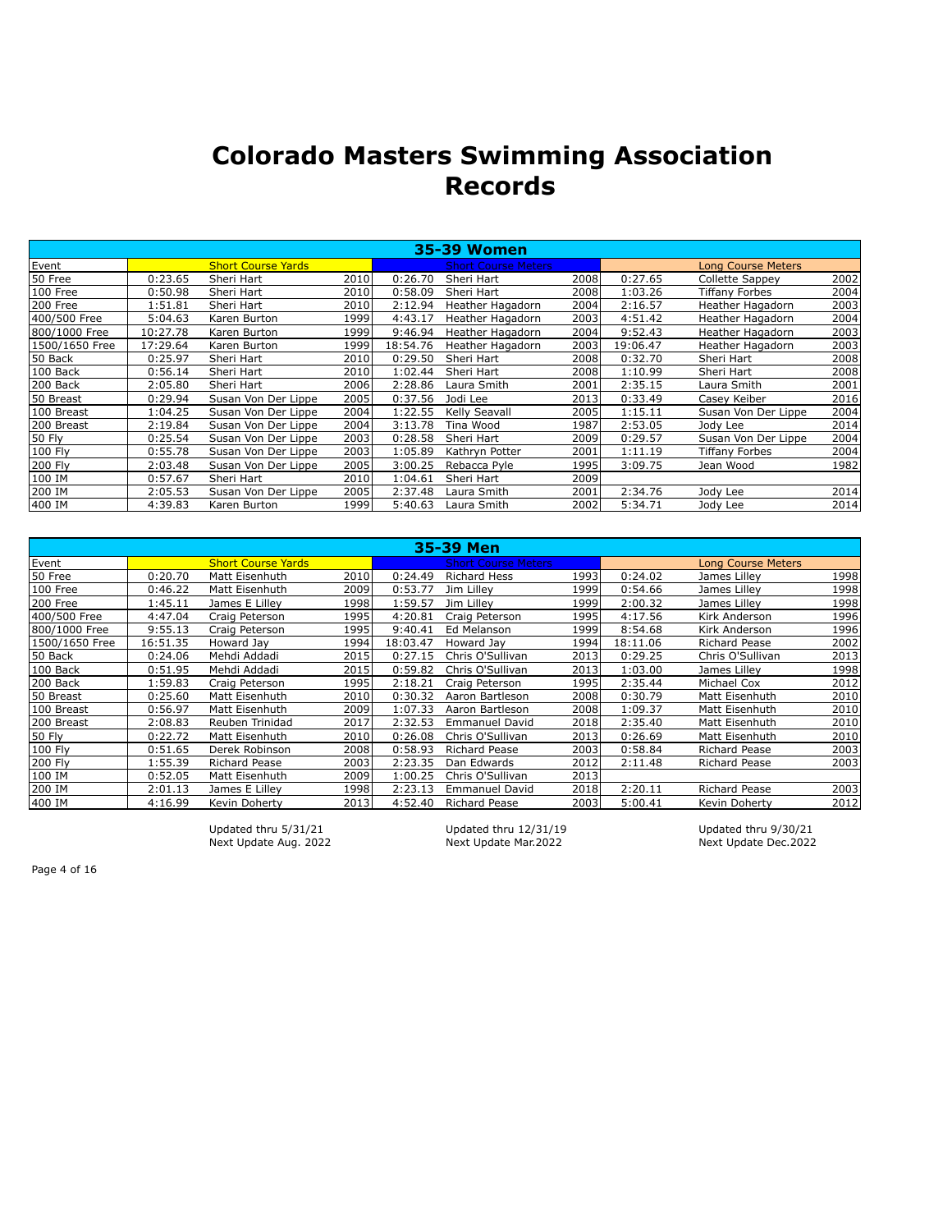|                |          |                           |      |          | 35-39 Women                |      |          |                           |      |
|----------------|----------|---------------------------|------|----------|----------------------------|------|----------|---------------------------|------|
| Event          |          | <b>Short Course Yards</b> |      |          | <b>Short Course Meters</b> |      |          | <b>Long Course Meters</b> |      |
| 50 Free        | 0:23.65  | Sheri Hart                | 2010 | 0:26.70  | Sheri Hart                 | 2008 | 0:27.65  | <b>Collette Sappey</b>    | 2002 |
| 100 Free       | 0:50.98  | Sheri Hart                | 2010 | 0:58.09  | Sheri Hart                 | 2008 | 1:03.26  | Tiffany Forbes            | 2004 |
| 200 Free       | 1:51.81  | Sheri Hart                | 2010 | 2:12.94  | Heather Hagadorn           | 2004 | 2:16.57  | Heather Hagadorn          | 2003 |
| 400/500 Free   | 5:04.63  | Karen Burton              | 1999 | 4:43.17  | Heather Hagadorn           | 2003 | 4:51.42  | Heather Hagadorn          | 2004 |
| 800/1000 Free  | 10:27.78 | Karen Burton              | 1999 | 9:46.94  | Heather Hagadorn           | 2004 | 9:52.43  | Heather Hagadorn          | 2003 |
| 1500/1650 Free | 17:29.64 | Karen Burton              | 1999 | 18:54.76 | Heather Hagadorn           | 2003 | 19:06.47 | Heather Hagadorn          | 2003 |
| 50 Back        | 0:25.97  | Sheri Hart                | 2010 | 0:29.50  | Sheri Hart                 | 2008 | 0:32.70  | Sheri Hart                | 2008 |
| 100 Back       | 0:56.14  | Sheri Hart                | 2010 | 1:02.44  | Sheri Hart                 | 2008 | 1:10.99  | Sheri Hart                | 2008 |
| 200 Back       | 2:05.80  | Sheri Hart                | 2006 | 2:28.86  | Laura Smith                | 2001 | 2:35.15  | Laura Smith               | 2001 |
| 50 Breast      | 0:29.94  | Susan Von Der Lippe       | 2005 | 0:37.56  | Jodi Lee                   | 2013 | 0:33.49  | Casey Keiber              | 2016 |
| 100 Breast     | 1:04.25  | Susan Von Der Lippe       | 2004 | 1:22.55  | Kelly Seavall              | 2005 | 1:15.11  | Susan Von Der Lippe       | 2004 |
| 200 Breast     | 2:19.84  | Susan Von Der Lippe       | 2004 | 3:13.78  | Tina Wood                  | 1987 | 2:53.05  | Jody Lee                  | 2014 |
| 50 Fly         | 0:25.54  | Susan Von Der Lippe       | 2003 | 0:28.58  | Sheri Hart                 | 2009 | 0:29.57  | Susan Von Der Lippe       | 2004 |
| 100 Fly        | 0:55.78  | Susan Von Der Lippe       | 2003 | 1:05.89  | Kathryn Potter             | 2001 | 1:11.19  | Tiffany Forbes            | 2004 |
| 200 Fly        | 2:03.48  | Susan Von Der Lippe       | 2005 | 3:00.25  | Rebacca Pyle               | 1995 | 3:09.75  | Jean Wood                 | 1982 |
| 100 IM         | 0:57.67  | Sheri Hart                | 2010 | 1:04.61  | Sheri Hart                 | 2009 |          |                           |      |
| 200 IM         | 2:05.53  | Susan Von Der Lippe       | 2005 | 2:37.48  | Laura Smith                | 2001 | 2:34.76  | Jody Lee                  | 2014 |
| 400 IM         | 4:39.83  | Karen Burton              | 1999 | 5:40.63  | Laura Smith                | 2002 | 5:34.71  | Jody Lee                  | 2014 |

|                 |          |                           |       |          | 35-39 Men                  |      |          |                           |      |
|-----------------|----------|---------------------------|-------|----------|----------------------------|------|----------|---------------------------|------|
| Event           |          | <b>Short Course Yards</b> |       |          | <b>Short Course Meters</b> |      |          | <b>Long Course Meters</b> |      |
| 50 Free         | 0:20.70  | Matt Eisenhuth            | 2010l | 0:24.49  | <b>Richard Hess</b>        | 1993 | 0:24.02  | James Lilley              | 1998 |
| 100 Free        | 0:46.22  | Matt Eisenhuth            | 2009  | 0:53.77  | Jim Lillev                 | 1999 | 0:54.66  | James Lilley              | 1998 |
| 200 Free        | 1:45.11  | James E Lilley            | 1998  | 1:59.57  | Jim Lillev                 | 1999 | 2:00.32  | James Lilley              | 1998 |
| 400/500 Free    | 4:47.04  | Craig Peterson            | 1995  | 4:20.81  | Craig Peterson             | 1995 | 4:17.56  | Kirk Anderson             | 1996 |
| 800/1000 Free   | 9:55.13  | Craig Peterson            | 1995  | 9:40.41  | Ed Melanson                | 1999 | 8:54.68  | Kirk Anderson             | 1996 |
| l1500/1650 Free | 16:51.35 | Howard Jay                | 1994  | 18:03.47 | Howard Jay                 | 1994 | 18:11.06 | <b>Richard Pease</b>      | 2002 |
| 50 Back         | 0:24.06  | Mehdi Addadi              | 2015  | 0:27.15  | Chris O'Sullivan           | 2013 | 0:29.25  | Chris O'Sullivan          | 2013 |
| 100 Back        | 0:51.95  | Mehdi Addadi              | 2015  | 0:59.82  | Chris O'Sullivan           | 2013 | 1:03.00  | James Lillev              | 1998 |
| 200 Back        | 1:59.83  | Craig Peterson            | 1995  | 2:18.21  | Craig Peterson             | 1995 | 2:35.44  | Michael Cox               | 2012 |
| 50 Breast       | 0:25.60  | Matt Eisenhuth            | 2010  | 0:30.32  | Aaron Bartleson            | 2008 | 0:30.79  | Matt Eisenhuth            | 2010 |
| 100 Breast      | 0:56.97  | Matt Eisenhuth            | 2009  | 1:07.33  | Aaron Bartleson            | 2008 | 1:09.37  | Matt Eisenhuth            | 2010 |
| 200 Breast      | 2:08.83  | Reuben Trinidad           | 2017  | 2:32.53  | <b>Emmanuel David</b>      | 2018 | 2:35.40  | Matt Eisenhuth            | 2010 |
| 50 Fly          | 0:22.72  | Matt Eisenhuth            | 2010  | 0:26.08  | Chris O'Sullivan           | 2013 | 0:26.69  | Matt Eisenhuth            | 2010 |
| 100 Fly         | 0:51.65  | Derek Robinson            | 2008  | 0:58.93  | <b>Richard Pease</b>       | 2003 | 0:58.84  | <b>Richard Pease</b>      | 2003 |
| 200 Fly         | 1:55.39  | <b>Richard Pease</b>      | 2003  | 2:23.35  | Dan Edwards                | 2012 | 2:11.48  | <b>Richard Pease</b>      | 2003 |
| 100 IM          | 0:52.05  | Matt Eisenhuth            | 2009  | 1:00.25  | Chris O'Sullivan           | 2013 |          |                           |      |
| 200 IM          | 2:01.13  | James E Lilley            | 1998  | 2:23.13  | <b>Emmanuel David</b>      | 2018 | 2:20.11  | Richard Pease             | 2003 |
| 400 IM          | 4:16.99  | Kevin Doherty             | 2013  | 4:52.40  | Richard Pease              | 2003 | 5:00.41  | Kevin Doherty             | 2012 |

Next Update Aug. 2022

Updated thru 5/31/21 Updated thru 12/31/19 Updated thru 9/30/21<br>Next Update Aug. 2022 Next Update Mar.2022 Next Update Dec.2022

Page 4 of 16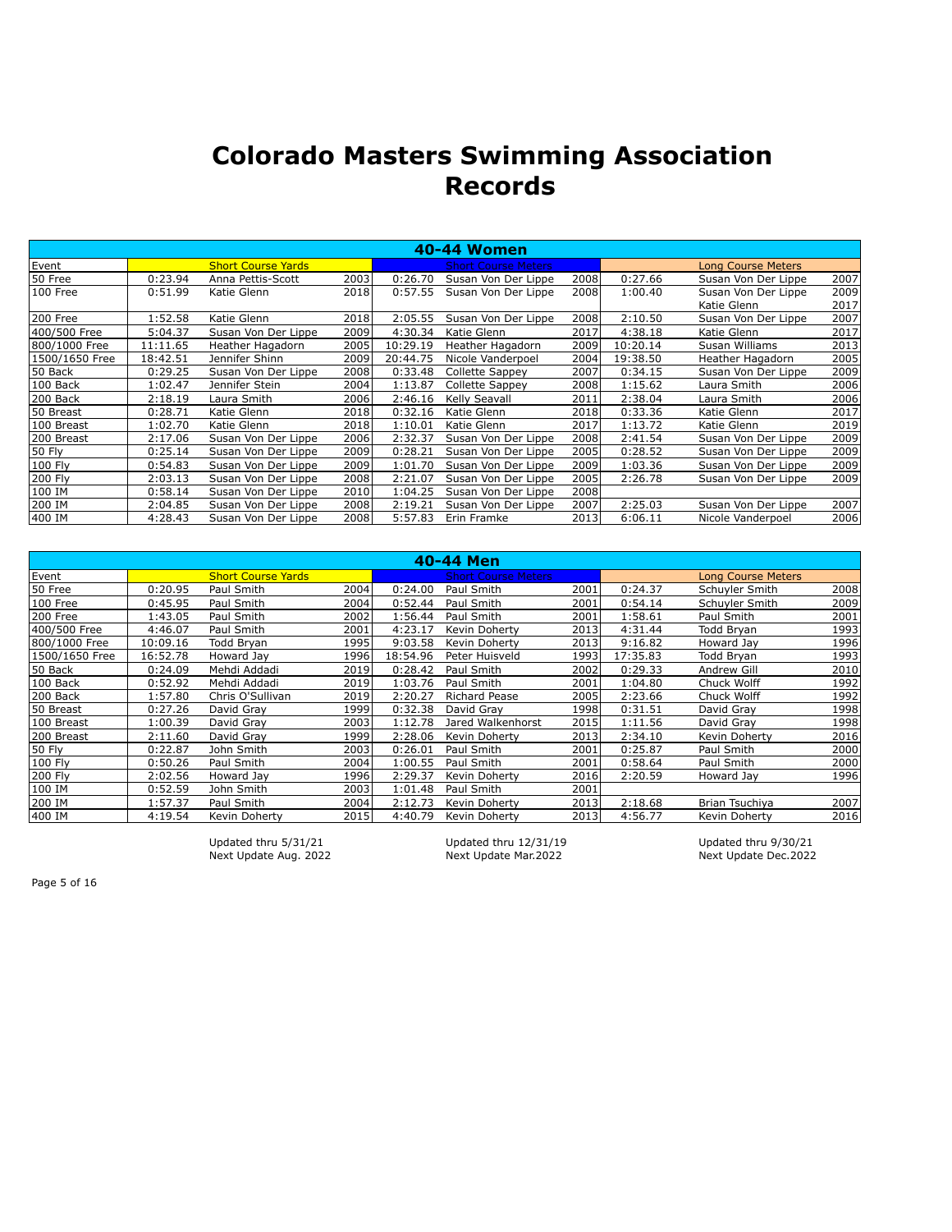|                |          |                           |      |          | 40-44 Women                |      |          |                           |      |
|----------------|----------|---------------------------|------|----------|----------------------------|------|----------|---------------------------|------|
| Event          |          | <b>Short Course Yards</b> |      |          | <b>Short Course Meters</b> |      |          | <b>Long Course Meters</b> |      |
| 50 Free        | 0:23.94  | Anna Pettis-Scott         | 2003 | 0:26.70  | Susan Von Der Lippe        | 2008 | 0:27.66  | Susan Von Der Lippe       | 2007 |
| 100 Free       | 0:51.99  | Katie Glenn               | 2018 | 0:57.55  | Susan Von Der Lippe        | 2008 | 1:00.40  | Susan Von Der Lippe       | 2009 |
|                |          |                           |      |          |                            |      |          | Katie Glenn               | 2017 |
| 200 Free       | 1:52.58  | Katie Glenn               | 2018 | 2:05.55  | Susan Von Der Lippe        | 2008 | 2:10.50  | Susan Von Der Lippe       | 2007 |
| 400/500 Free   | 5:04.37  | Susan Von Der Lippe       | 2009 | 4:30.34  | Katie Glenn                | 2017 | 4:38.18  | Katie Glenn               | 2017 |
| 800/1000 Free  | 11:11.65 | Heather Hagadorn          | 2005 | 10:29.19 | Heather Hagadorn           | 2009 | 10:20.14 | Susan Williams            | 2013 |
| 1500/1650 Free | 18:42.51 | Jennifer Shinn            | 2009 | 20:44.75 | Nicole Vanderpoel          | 2004 | 19:38.50 | Heather Hagadorn          | 2005 |
| 50 Back        | 0:29.25  | Susan Von Der Lippe       | 2008 | 0:33.48  | Collette Sappey            | 2007 | 0:34.15  | Susan Von Der Lippe       | 2009 |
| 100 Back       | 1:02.47  | Jennifer Stein            | 2004 | 1:13.87  | Collette Sappey            | 2008 | 1:15.62  | Laura Smith               | 2006 |
| 200 Back       | 2:18.19  | Laura Smith               | 2006 | 2:46.16  | Kelly Seavall              | 2011 | 2:38.04  | Laura Smith               | 2006 |
| 50 Breast      | 0:28.71  | Katie Glenn               | 2018 | 0:32.16  | Katie Glenn                | 2018 | 0:33.36  | Katie Glenn               | 2017 |
| 100 Breast     | 1:02.70  | Katie Glenn               | 2018 | 1:10.01  | Katie Glenn                | 2017 | 1:13.72  | Katie Glenn               | 2019 |
| 200 Breast     | 2:17.06  | Susan Von Der Lippe       | 2006 | 2:32.37  | Susan Von Der Lippe        | 2008 | 2:41.54  | Susan Von Der Lippe       | 2009 |
| <b>50 Fly</b>  | 0:25.14  | Susan Von Der Lippe       | 2009 | 0:28.21  | Susan Von Der Lippe        | 2005 | 0:28.52  | Susan Von Der Lippe       | 2009 |
| 100 Fly        | 0:54.83  | Susan Von Der Lippe       | 2009 | 1:01.70  | Susan Von Der Lippe        | 2009 | 1:03.36  | Susan Von Der Lippe       | 2009 |
| 200 Fly        | 2:03.13  | Susan Von Der Lippe       | 2008 | 2:21.07  | Susan Von Der Lippe        | 2005 | 2:26.78  | Susan Von Der Lippe       | 2009 |
| 100 IM         | 0:58.14  | Susan Von Der Lippe       | 2010 | 1:04.25  | Susan Von Der Lippe        | 2008 |          |                           |      |
| 200 IM         | 2:04.85  | Susan Von Der Lippe       | 2008 | 2:19.21  | Susan Von Der Lippe        | 2007 | 2:25.03  | Susan Von Der Lippe       | 2007 |
| 400 IM         | 4:28.43  | Susan Von Der Lippe       | 2008 | 5:57.83  | Erin Framke                | 2013 | 6:06.11  | Nicole Vanderpoel         | 2006 |

|                |          |                           |       |          | 40-44 Men                  |      |          |                           |      |
|----------------|----------|---------------------------|-------|----------|----------------------------|------|----------|---------------------------|------|
| Event          |          | <b>Short Course Yards</b> |       |          | <b>Short Course Meters</b> |      |          | <b>Long Course Meters</b> |      |
| 50 Free        | 0:20.95  | Paul Smith                | 2004  | 0:24.00  | Paul Smith                 | 2001 | 0:24.37  | Schuyler Smith            | 2008 |
| 100 Free       | 0:45.95  | Paul Smith                | 2004  | 0:52.44  | Paul Smith                 | 2001 | 0:54.14  | Schuyler Smith            | 2009 |
| 200 Free       | 1:43.05  | Paul Smith                | 2002  | 1:56.44  | Paul Smith                 | 2001 | 1:58.61  | Paul Smith                | 2001 |
| 400/500 Free   | 4:46.07  | Paul Smith                | 2001  | 4:23.17  | Kevin Doherty              | 2013 | 4:31.44  | Todd Bryan                | 1993 |
| 800/1000 Free  | 10:09.16 | Todd Bryan                | 1995  | 9:03.58  | Kevin Doherty              | 2013 | 9:16.82  | Howard Jay                | 1996 |
| 1500/1650 Free | 16:52.78 | Howard Jay                | 1996  | 18:54.96 | Peter Huisveld             | 1993 | 17:35.83 | Todd Bryan                | 1993 |
| 50 Back        | 0:24.09  | Mehdi Addadi              | 2019  | 0:28.42  | Paul Smith                 | 2002 | 0:29.33  | <b>Andrew Gill</b>        | 2010 |
| 100 Back       | 0:52.92  | Mehdi Addadi              | 2019  | 1:03.76  | Paul Smith                 | 2001 | 1:04.80  | Chuck Wolff               | 1992 |
| 200 Back       | 1:57.80  | Chris O'Sullivan          | 2019  | 2:20.27  | Richard Pease              | 2005 | 2:23.66  | Chuck Wolff               | 1992 |
| 50 Breast      | 0:27.26  | David Gray                | 1999  | 0:32.38  | David Gray                 | 1998 | 0:31.51  | David Grav                | 1998 |
| 100 Breast     | 1:00.39  | David Grav                | 2003  | 1:12.78  | Jared Walkenhorst          | 2015 | 1:11.56  | David Gray                | 1998 |
| 200 Breast     | 2:11.60  | David Gray                | 1999  | 2:28.06  | Kevin Doherty              | 2013 | 2:34.10  | Kevin Doherty             | 2016 |
| 50 Fly         | 0:22.87  | John Smith                | 2003  | 0:26.01  | Paul Smith                 | 2001 | 0:25.87  | Paul Smith                | 2000 |
| 100 Fly        | 0:50.26  | Paul Smith                | 2004l | 1:00.55  | Paul Smith                 | 2001 | 0:58.64  | Paul Smith                | 2000 |
| 200 Fly        | 2:02.56  | Howard Jav                | 1996l | 2:29.37  | Kevin Doherty              | 2016 | 2:20.59  | Howard Jay                | 1996 |
| 100 IM         | 0:52.59  | John Smith                | 2003  | 1:01.48  | Paul Smith                 | 2001 |          |                           |      |
| 200 IM         | 1:57.37  | Paul Smith                | 2004  | 2:12.73  | Kevin Doherty              | 2013 | 2:18.68  | Brian Tsuchiya            | 2007 |
| 400 IM         | 4:19.54  | Kevin Doherty             | 2015  | 4:40.79  | Kevin Doherty              | 2013 | 4:56.77  | Kevin Doherty             | 2016 |

Updated thru 5/31/21 Updated thru 12/31/19 Updated thru 9/30/21 Next Update Aug. 2022 Next Update Mar.2022 Next Update Dec.2022

Page 5 of 16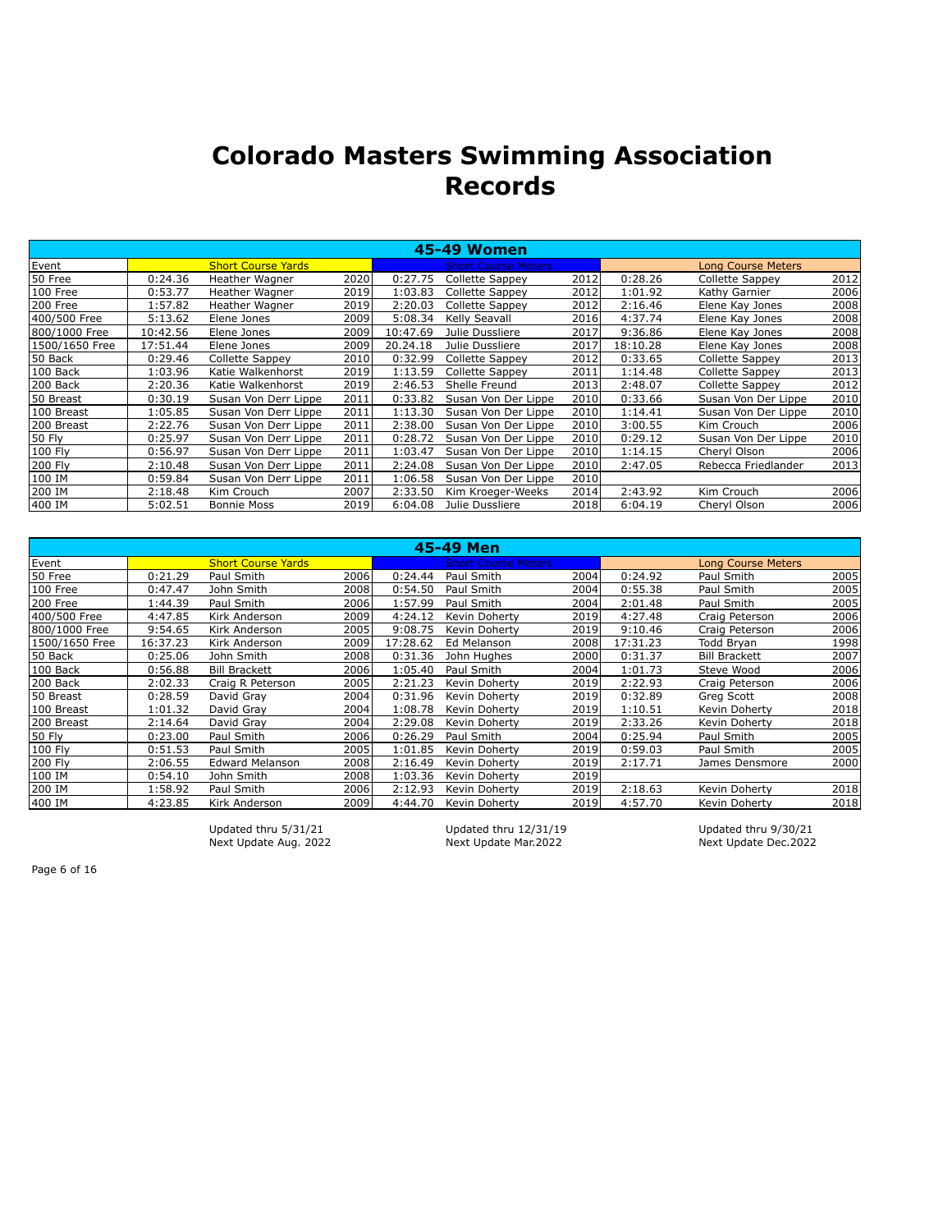|                |          |                           |      |          | 45-49 Women                |      |          |                           |      |
|----------------|----------|---------------------------|------|----------|----------------------------|------|----------|---------------------------|------|
| Event          |          | <b>Short Course Yards</b> |      |          | <b>Short Course Meters</b> |      |          | <b>Long Course Meters</b> |      |
| 50 Free        | 0:24.36  | Heather Wagner            | 2020 | 0:27.75  | Collette Sappey            | 2012 | 0:28.26  | Collette Sappey           | 2012 |
| 100 Free       | 0:53.77  | Heather Wagner            | 2019 | 1:03.83  | <b>Collette Sappey</b>     | 2012 | 1:01.92  | Kathy Garnier             | 2006 |
| 200 Free       | 1:57.82  | Heather Wagner            | 2019 | 2:20.03  | Collette Sappey            | 2012 | 2:16.46  | Elene Kay Jones           | 2008 |
| 400/500 Free   | 5:13.62  | Elene Jones               | 2009 | 5:08.34  | Kelly Seavall              | 2016 | 4:37.74  | Elene Kay Jones           | 2008 |
| 800/1000 Free  | 10:42.56 | Elene Jones               | 2009 | 10:47.69 | Julie Dussliere            | 2017 | 9:36.86  | Elene Kay Jones           | 2008 |
| 1500/1650 Free | 17:51.44 | Elene Jones               | 2009 | 20.24.18 | Julie Dussliere            | 2017 | 18:10.28 | Elene Kay Jones           | 2008 |
| 50 Back        | 0:29.46  | Collette Sappey           | 2010 | 0:32.99  | Collette Sappey            | 2012 | 0:33.65  | Collette Sappey           | 2013 |
| 100 Back       | 1:03.96  | Katie Walkenhorst         | 2019 | 1:13.59  | Collette Sappey            | 2011 | 1:14.48  | Collette Sappey           | 2013 |
| 200 Back       | 2:20.36  | Katie Walkenhorst         | 2019 | 2:46.53  | Shelle Freund              | 2013 | 2:48.07  | Collette Sappey           | 2012 |
| 50 Breast      | 0:30.19  | Susan Von Derr Lippe      | 2011 | 0:33.82  | Susan Von Der Lippe        | 2010 | 0:33.66  | Susan Von Der Lippe       | 2010 |
| 100 Breast     | 1:05.85  | Susan Von Derr Lippe      | 2011 | 1:13.30  | Susan Von Der Lippe        | 2010 | 1:14.41  | Susan Von Der Lippe       | 2010 |
| 200 Breast     | 2:22.76  | Susan Von Derr Lippe      | 2011 | 2:38.00  | Susan Von Der Lippe        | 2010 | 3:00.55  | Kim Crouch                | 2006 |
| 50 Fly         | 0:25.97  | Susan Von Derr Lippe      | 2011 | 0:28.72  | Susan Von Der Lippe        | 2010 | 0:29.12  | Susan Von Der Lippe       | 2010 |
| 100 Fly        | 0:56.97  | Susan Von Derr Lippe      | 2011 | 1:03.47  | Susan Von Der Lippe        | 2010 | 1:14.15  | Cheryl Olson              | 2006 |
| 200 Fly        | 2:10.48  | Susan Von Derr Lippe      | 2011 | 2:24.08  | Susan Von Der Lippe        | 2010 | 2:47.05  | Rebecca Friedlander       | 2013 |
| 100 IM         | 0:59.84  | Susan Von Derr Lippe      | 2011 | 1:06.58  | Susan Von Der Lippe        | 2010 |          |                           |      |
| 200 IM         | 2:18.48  | Kim Crouch                | 2007 | 2:33.50  | Kim Kroeger-Weeks          | 2014 | 2:43.92  | Kim Crouch                | 2006 |
| 400 IM         | 5:02.51  | <b>Bonnie Moss</b>        | 2019 | 6:04.08  | Julie Dussliere            | 2018 | 6:04.19  | Cheryl Olson              | 2006 |

|                |          |                           |       |          | 45-49 Men                  |      |          |                           |      |
|----------------|----------|---------------------------|-------|----------|----------------------------|------|----------|---------------------------|------|
| Event          |          | <b>Short Course Yards</b> |       |          | <b>Short Course Meters</b> |      |          | <b>Long Course Meters</b> |      |
| 50 Free        | 0:21.29  | Paul Smith                | 2006  | 0:24.44  | Paul Smith                 | 2004 | 0:24.92  | Paul Smith                | 2005 |
| 100 Free       | 0:47.47  | John Smith                | 2008  | 0:54.50  | Paul Smith                 | 2004 | 0:55.38  | Paul Smith                | 2005 |
| 200 Free       | 1:44.39  | Paul Smith                | 2006  | 1:57.99  | Paul Smith                 | 2004 | 2:01.48  | Paul Smith                | 2005 |
| 400/500 Free   | 4:47.85  | Kirk Anderson             | 2009  | 4:24.12  | Kevin Doherty              | 2019 | 4:27.48  | Craig Peterson            | 2006 |
| 800/1000 Free  | 9:54.65  | Kirk Anderson             | 2005  | 9:08.75  | Kevin Doherty              | 2019 | 9:10.46  | Craig Peterson            | 2006 |
| 1500/1650 Free | 16:37.23 | Kirk Anderson             | 2009  | 17:28.62 | Ed Melanson                | 2008 | 17:31.23 | Todd Bryan                | 1998 |
| 50 Back        | 0:25.06  | John Smith                | 2008  | 0:31.36  | John Hughes                | 2000 | 0:31.37  | <b>Bill Brackett</b>      | 2007 |
| 100 Back       | 0:56.88  | <b>Bill Brackett</b>      | 2006l | 1:05.40  | Paul Smith                 | 2004 | 1:01.73  | Steve Wood                | 2006 |
| 200 Back       | 2:02.33  | Craig R Peterson          | 2005  | 2:21.23  | Kevin Doherty              | 2019 | 2:22.93  | Craig Peterson            | 2006 |
| 50 Breast      | 0:28.59  | David Gray                | 2004  | 0:31.96  | Kevin Doherty              | 2019 | 0:32.89  | Greg Scott                | 2008 |
| 100 Breast     | 1:01.32  | David Gray                | 2004  | 1:08.78  | Kevin Doherty              | 2019 | 1:10.51  | Kevin Doherty             | 2018 |
| 200 Breast     | 2:14.64  | David Gray                | 2004  | 2:29.08  | Kevin Doherty              | 2019 | 2:33.26  | Kevin Doherty             | 2018 |
| 50 Fly         | 0:23.00  | Paul Smith                | 2006  | 0:26.29  | Paul Smith                 | 2004 | 0:25.94  | Paul Smith                | 2005 |
| 100 Fly        | 0:51.53  | Paul Smith                | 2005  | 1:01.85  | Kevin Doherty              | 2019 | 0:59.03  | Paul Smith                | 2005 |
| 200 Fly        | 2:06.55  | <b>Edward Melanson</b>    | 2008  | 2:16.49  | Kevin Doherty              | 2019 | 2:17.71  | James Densmore            | 2000 |
| 100 IM         | 0:54.10  | John Smith                | 2008  | 1:03.36  | Kevin Doherty              | 2019 |          |                           |      |
| 200 IM         | 1:58.92  | Paul Smith                | 2006  | 2:12.93  | Kevin Doherty              | 2019 | 2:18.63  | Kevin Doherty             | 2018 |
| 400 IM         | 4:23.85  | Kirk Anderson             | 2009  | 4:44.70  | Kevin Doherty              | 2019 | 4:57.70  | Kevin Doherty             | 2018 |

Next Update Aug. 2022

Updated thru 5/31/21 Updated thru 12/31/19 Updated thru 9/30/21<br>Next Update Aug. 2022 Next Update Mar.2022 Next Update Dec.2022

Page 6 of 16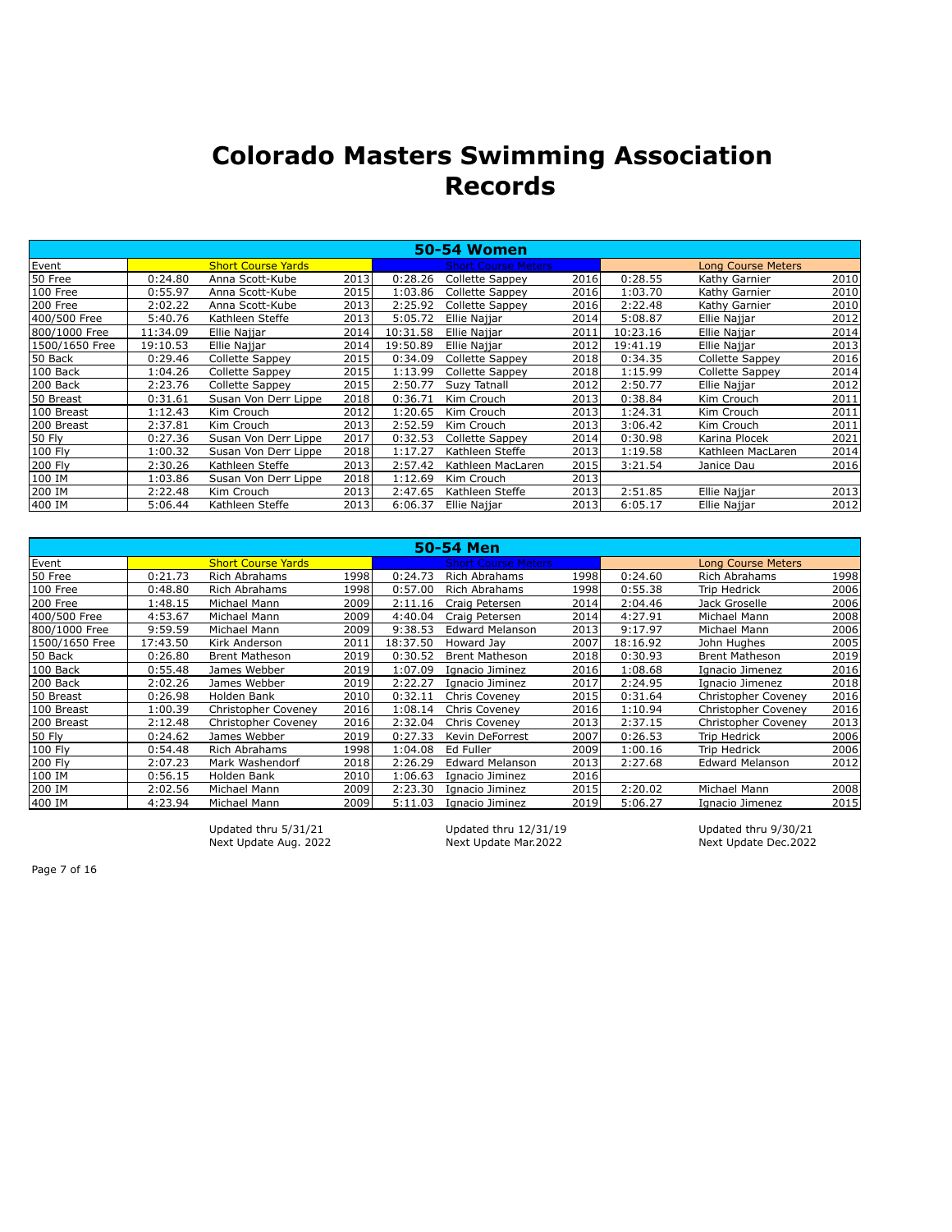|                |          |                           |      |          | <b>50-54 Women</b>         |       |          |                           |      |
|----------------|----------|---------------------------|------|----------|----------------------------|-------|----------|---------------------------|------|
| Event          |          | <b>Short Course Yards</b> |      |          | <b>Short Course Meters</b> |       |          | <b>Long Course Meters</b> |      |
| 50 Free        | 0:24.80  | Anna Scott-Kube           | 2013 | 0:28.26  | Collette Sappey            | 2016  | 0:28.55  | Kathy Garnier             | 2010 |
| 100 Free       | 0:55.97  | Anna Scott-Kube           | 2015 | 1:03.86  | Collette Sappey            | 2016l | 1:03.70  | Kathy Garnier             | 2010 |
| 200 Free       | 2:02.22  | Anna Scott-Kube           | 2013 | 2:25.92  | Collette Sappey            | 2016  | 2:22.48  | Kathy Garnier             | 2010 |
| 400/500 Free   | 5:40.76  | Kathleen Steffe           | 2013 | 5:05.72  | Ellie Najjar               | 2014  | 5:08.87  | Ellie Najjar              | 2012 |
| 800/1000 Free  | 11:34.09 | Ellie Najjar              | 2014 | 10:31.58 | Ellie Najjar               | 2011  | 10:23.16 | Ellie Najjar              | 2014 |
| 1500/1650 Free | 19:10.53 | Ellie Najjar              | 2014 | 19:50.89 | Ellie Najjar               | 2012  | 19:41.19 | Ellie Najjar              | 2013 |
| 50 Back        | 0:29.46  | Collette Sappey           | 2015 | 0:34.09  | Collette Sappey            | 2018  | 0:34.35  | Collette Sappey           | 2016 |
| 100 Back       | 1:04.26  | Collette Sappey           | 2015 | 1:13.99  | Collette Sappey            | 2018  | 1:15.99  | Collette Sappey           | 2014 |
| 200 Back       | 2:23.76  | <b>Collette Sappey</b>    | 2015 | 2:50.77  | Suzy Tatnall               | 2012  | 2:50.77  | Ellie Najjar              | 2012 |
| 50 Breast      | 0:31.61  | Susan Von Derr Lippe      | 2018 | 0:36.71  | Kim Crouch                 | 2013  | 0:38.84  | Kim Crouch                | 2011 |
| 100 Breast     | 1:12.43  | Kim Crouch                | 2012 | 1:20.65  | Kim Crouch                 | 2013  | 1:24.31  | Kim Crouch                | 2011 |
| 200 Breast     | 2:37.81  | Kim Crouch                | 2013 | 2:52.59  | Kim Crouch                 | 2013  | 3:06.42  | Kim Crouch                | 2011 |
| 50 Fly         | 0:27.36  | Susan Von Derr Lippe      | 2017 | 0:32.53  | Collette Sappey            | 2014  | 0:30.98  | Karina Plocek             | 2021 |
| 100 Fly        | 1:00.32  | Susan Von Derr Lippe      | 2018 | 1:17.27  | Kathleen Steffe            | 2013  | 1:19.58  | Kathleen MacLaren         | 2014 |
| 200 Fly        | 2:30.26  | Kathleen Steffe           | 2013 | 2:57.42  | Kathleen MacLaren          | 2015  | 3:21.54  | Janice Dau                | 2016 |
| 100 IM         | 1:03.86  | Susan Von Derr Lippe      | 2018 | 1:12.69  | Kim Crouch                 | 2013  |          |                           |      |
| 200 IM         | 2:22.48  | Kim Crouch                | 2013 | 2:47.65  | Kathleen Steffe            | 2013  | 2:51.85  | Ellie Najjar              | 2013 |
| 400 IM         | 5:06.44  | Kathleen Steffe           | 2013 | 6:06.37  | Ellie Najjar               | 2013  | 6:05.17  | Ellie Najjar              | 2012 |

|                |          |                           |      |          | 50-54 Men                  |      |          |                           |      |
|----------------|----------|---------------------------|------|----------|----------------------------|------|----------|---------------------------|------|
| Event          |          | <b>Short Course Yards</b> |      |          | <b>Short Course Meters</b> |      |          | <b>Long Course Meters</b> |      |
| 50 Free        | 0:21.73  | <b>Rich Abrahams</b>      | 1998 | 0:24.73  | <b>Rich Abrahams</b>       | 1998 | 0:24.60  | <b>Rich Abrahams</b>      | 1998 |
| 100 Free       | 0:48.80  | Rich Abrahams             | 1998 | 0:57.00  | <b>Rich Abrahams</b>       | 1998 | 0:55.38  | Trip Hedrick              | 2006 |
| 200 Free       | 1:48.15  | Michael Mann              | 2009 | 2:11.16  | Craig Petersen             | 2014 | 2:04.46  | Jack Groselle             | 2006 |
| 400/500 Free   | 4:53.67  | Michael Mann              | 2009 | 4:40.04  | Craig Petersen             | 2014 | 4:27.91  | Michael Mann              | 2008 |
| 800/1000 Free  | 9:59.59  | Michael Mann              | 2009 | 9:38.53  | <b>Edward Melanson</b>     | 2013 | 9:17.97  | Michael Mann              | 2006 |
| 1500/1650 Free | 17:43.50 | Kirk Anderson             | 2011 | 18:37.50 | Howard Jay                 | 2007 | 18:16.92 | John Hughes               | 2005 |
| 50 Back        | 0:26.80  | <b>Brent Matheson</b>     | 2019 | 0:30.52  | <b>Brent Matheson</b>      | 2018 | 0:30.93  | <b>Brent Matheson</b>     | 2019 |
| 100 Back       | 0:55.48  | James Webber              | 2019 | 1:07.09  | Ignacio Jiminez            | 2016 | 1:08.68  | Ignacio Jimenez           | 2016 |
| 200 Back       | 2:02.26  | James Webber              | 2019 | 2:22.27  | Ignacio Jiminez            | 2017 | 2:24.95  | Ignacio Jimenez           | 2018 |
| 50 Breast      | 0:26.98  | Holden Bank               | 2010 | 0:32.11  | <b>Chris Coveney</b>       | 2015 | 0:31.64  | Christopher Coveney       | 2016 |
| 100 Breast     | 1:00.39  | Christopher Coveney       | 2016 | 1:08.14  | Chris Coveney              | 2016 | 1:10.94  | Christopher Coveney       | 2016 |
| 200 Breast     | 2:12.48  | Christopher Coveney       | 2016 | 2:32.04  | Chris Coveney              | 2013 | 2:37.15  | Christopher Coveney       | 2013 |
| 50 Fly         | 0:24.62  | James Webber              | 2019 | 0:27.33  | Kevin DeForrest            | 2007 | 0:26.53  | Trip Hedrick              | 2006 |
| 100 Fly        | 0:54.48  | Rich Abrahams             | 1998 | 1:04.08  | Ed Fuller                  | 2009 | 1:00.16  | Trip Hedrick              | 2006 |
| 200 Fly        | 2:07.23  | Mark Washendorf           | 2018 | 2:26.29  | <b>Edward Melanson</b>     | 2013 | 2:27.68  | <b>Edward Melanson</b>    | 2012 |
| 100 IM         | 0:56.15  | Holden Bank               | 2010 | 1:06.63  | Ignacio Jiminez            | 2016 |          |                           |      |
| 200 IM         | 2:02.56  | Michael Mann              | 2009 | 2:23.30  | Ignacio Jiminez            | 2015 | 2:20.02  | Michael Mann              | 2008 |
| 400 IM         | 4:23.94  | Michael Mann              | 2009 | 5:11.03  | Ignacio Jiminez            | 2019 | 5:06.27  | Ignacio Jimenez           | 2015 |

Next Update Aug. 2022

Updated thru 5/31/21 Updated thru 12/31/19 Updated thru 9/30/21<br>Next Update Aug. 2022 Next Update Mar.2022 Next Update Dec.2022

Page 7 of 16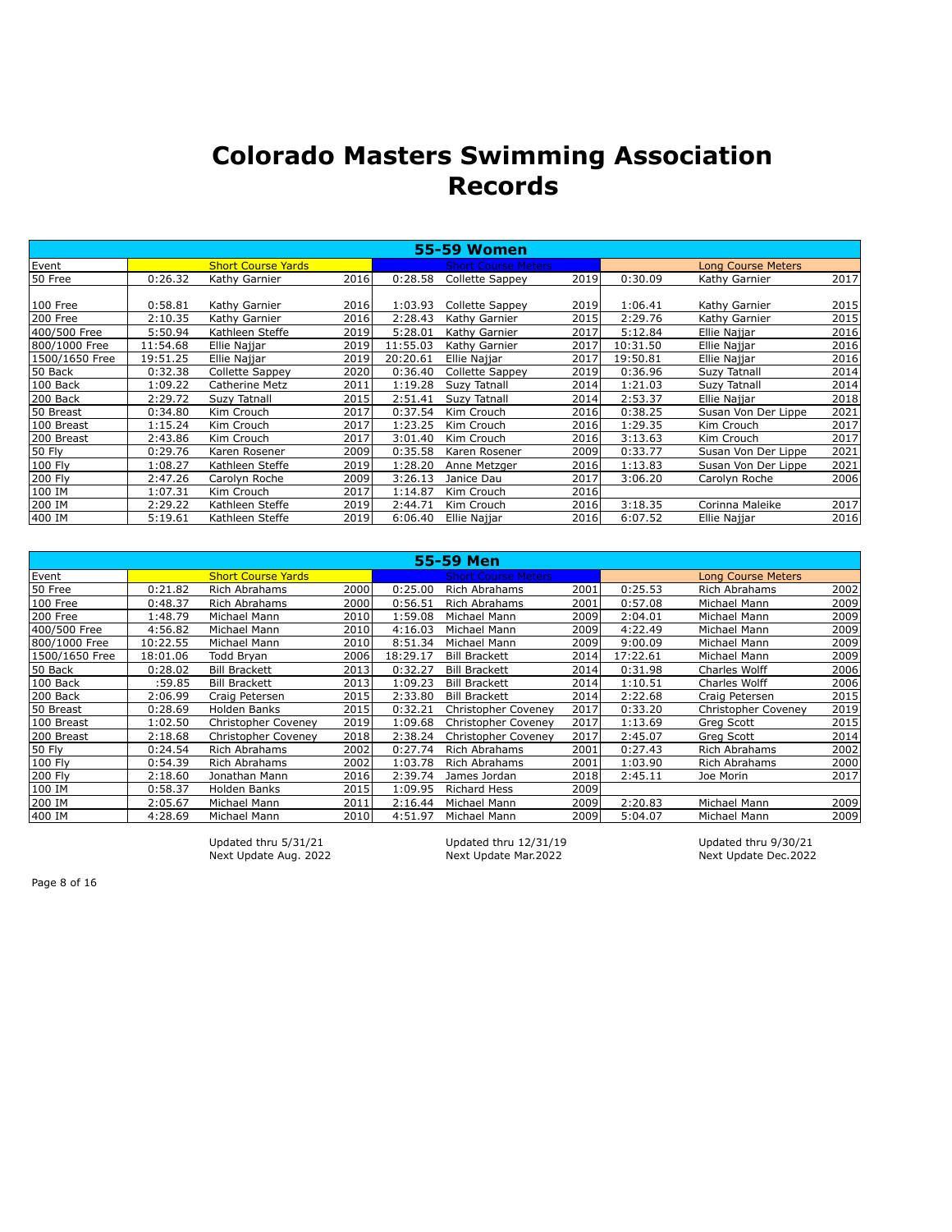|                |          |                           |       |          | <b>55-59 Women</b>         |      |          |                           |      |
|----------------|----------|---------------------------|-------|----------|----------------------------|------|----------|---------------------------|------|
| Event          |          | <b>Short Course Yards</b> |       |          | <b>Short Course Meters</b> |      |          | <b>Long Course Meters</b> |      |
| 50 Free        | 0:26.32  | Kathy Garnier             | 2016  | 0:28.58  | Collette Sappey            | 2019 | 0:30.09  | Kathy Garnier             | 2017 |
|                |          |                           |       |          |                            |      |          |                           |      |
| 100 Free       | 0:58.81  | Kathy Garnier             | 2016l | 1:03.93  | Collette Sappey            | 2019 | 1:06.41  | Kathy Garnier             | 2015 |
| 200 Free       | 2:10.35  | Kathy Garnier             | 2016  | 2:28.43  | Kathy Garnier              | 2015 | 2:29.76  | Kathy Garnier             | 2015 |
| 400/500 Free   | 5:50.94  | Kathleen Steffe           | 2019  | 5:28.01  | Kathy Garnier              | 2017 | 5:12.84  | Ellie Najjar              | 2016 |
| 800/1000 Free  | 11:54.68 | Ellie Najjar              | 2019  | 11:55.03 | Kathy Garnier              | 2017 | 10:31.50 | Ellie Najjar              | 2016 |
| 1500/1650 Free | 19:51.25 | Ellie Najjar              | 2019  | 20:20.61 | Ellie Najjar               | 2017 | 19:50.81 | Ellie Najjar              | 2016 |
| 50 Back        | 0:32.38  | Collette Sappey           | 2020  | 0:36.40  | Collette Sappey            | 2019 | 0:36.96  | Suzy Tatnall              | 2014 |
| 100 Back       | 1:09.22  | Catherine Metz            | 2011  | 1:19.28  | Suzy Tatnall               | 2014 | 1:21.03  | Suzy Tatnall              | 2014 |
| 200 Back       | 2:29.72  | Suzy Tatnall              | 2015  | 2:51.41  | Suzy Tatnall               | 2014 | 2:53.37  | Ellie Najjar              | 2018 |
| 50 Breast      | 0:34.80  | Kim Crouch                | 2017  | 0:37.54  | Kim Crouch                 | 2016 | 0:38.25  | Susan Von Der Lippe       | 2021 |
| 100 Breast     | 1:15.24  | Kim Crouch                | 2017  | 1:23.25  | Kim Crouch                 | 2016 | 1:29.35  | Kim Crouch                | 2017 |
| 200 Breast     | 2:43.86  | Kim Crouch                | 2017  | 3:01.40  | Kim Crouch                 | 2016 | 3:13.63  | Kim Crouch                | 2017 |
| 50 Fly         | 0:29.76  | Karen Rosener             | 2009  | 0:35.58  | Karen Rosener              | 2009 | 0:33.77  | Susan Von Der Lippe       | 2021 |
| 100 Fly        | 1:08.27  | Kathleen Steffe           | 2019  | 1:28.20  | Anne Metzger               | 2016 | 1:13.83  | Susan Von Der Lippe       | 2021 |
| 200 Fly        | 2:47.26  | Carolyn Roche             | 2009  | 3:26.13  | Janice Dau                 | 2017 | 3:06.20  | Carolyn Roche             | 2006 |
| 100 IM         | 1:07.31  | Kim Crouch                | 2017  | 1:14.87  | Kim Crouch                 | 2016 |          |                           |      |
| 200 IM         | 2:29.22  | Kathleen Steffe           | 2019  | 2:44.71  | Kim Crouch                 | 2016 | 3:18.35  | Corinna Maleike           | 2017 |
| 400 IM         | 5:19.61  | Kathleen Steffe           | 2019  | 6:06.40  | Ellie Najjar               | 2016 | 6:07.52  | Ellie Najjar              | 2016 |

|                |          |                           |      |          | 55-59 Men                  |      |          |                           |      |
|----------------|----------|---------------------------|------|----------|----------------------------|------|----------|---------------------------|------|
| Event          |          | <b>Short Course Yards</b> |      |          | <b>Short Course Meters</b> |      |          | <b>Long Course Meters</b> |      |
| 50 Free        | 0:21.82  | <b>Rich Abrahams</b>      | 2000 | 0:25.00  | Rich Abrahams              | 2001 | 0:25.53  | Rich Abrahams             | 2002 |
| 100 Free       | 0:48.37  | <b>Rich Abrahams</b>      | 2000 | 0:56.51  | <b>Rich Abrahams</b>       | 2001 | 0:57.08  | Michael Mann              | 2009 |
| 200 Free       | 1:48.79  | Michael Mann              | 2010 | 1:59.08  | Michael Mann               | 2009 | 2:04.01  | Michael Mann              | 2009 |
| 400/500 Free   | 4:56.82  | Michael Mann              | 2010 | 4:16.03  | Michael Mann               | 2009 | 4:22.49  | Michael Mann              | 2009 |
| 800/1000 Free  | 10:22.55 | Michael Mann              | 2010 | 8:51.34  | Michael Mann               | 2009 | 9:00.09  | Michael Mann              | 2009 |
| 1500/1650 Free | 18:01.06 | Todd Bryan                | 2006 | 18:29.17 | <b>Bill Brackett</b>       | 2014 | 17:22.61 | Michael Mann              | 2009 |
| 50 Back        | 0:28.02  | <b>Bill Brackett</b>      | 2013 | 0:32.27  | <b>Bill Brackett</b>       | 2014 | 0:31.98  | Charles Wolff             | 2006 |
| 100 Back       | :59.85   | <b>Bill Brackett</b>      | 2013 | 1:09.23  | <b>Bill Brackett</b>       | 2014 | 1:10.51  | Charles Wolff             | 2006 |
| 200 Back       | 2:06.99  | Craig Petersen            | 2015 | 2:33.80  | <b>Bill Brackett</b>       | 2014 | 2:22.68  | Craig Petersen            | 2015 |
| 50 Breast      | 0:28.69  | Holden Banks              | 2015 | 0:32.21  | <b>Christopher Coveney</b> | 2017 | 0:33.20  | Christopher Coveney       | 2019 |
| 100 Breast     | 1:02.50  | Christopher Coveney       | 2019 | 1:09.68  | Christopher Coveney        | 2017 | 1:13.69  | Greg Scott                | 2015 |
| 200 Breast     | 2:18.68  | Christopher Coveney       | 2018 | 2:38.24  | Christopher Coveney        | 2017 | 2:45.07  | Greg Scott                | 2014 |
| 50 Fly         | 0:24.54  | <b>Rich Abrahams</b>      | 2002 | 0:27.74  | Rich Abrahams              | 2001 | 0:27.43  | Rich Abrahams             | 2002 |
| 100 Fly        | 0:54.39  | <b>Rich Abrahams</b>      | 2002 | 1:03.78  | Rich Abrahams              | 2001 | 1:03.90  | Rich Abrahams             | 2000 |
| 200 Fly        | 2:18.60  | Jonathan Mann             | 2016 | 2:39.74  | James Jordan               | 2018 | 2:45.11  | Joe Morin                 | 2017 |
| 100 IM         | 0:58.37  | Holden Banks              | 2015 | 1:09.95  | <b>Richard Hess</b>        | 2009 |          |                           |      |
| 200 IM         | 2:05.67  | Michael Mann              | 2011 | 2:16.44  | Michael Mann               | 2009 | 2:20.83  | Michael Mann              | 2009 |
| 400 IM         | 4:28.69  | Michael Mann              | 2010 | 4:51.97  | Michael Mann               | 2009 | 5:04.07  | Michael Mann              | 2009 |

Updated thru 5/31/21 Updated thru 12/31/19 Updated thru 9/30/21 Next Update Aug. 2022 Next Update Mar.2022 Next Update Dec.2022

Page 8 of 16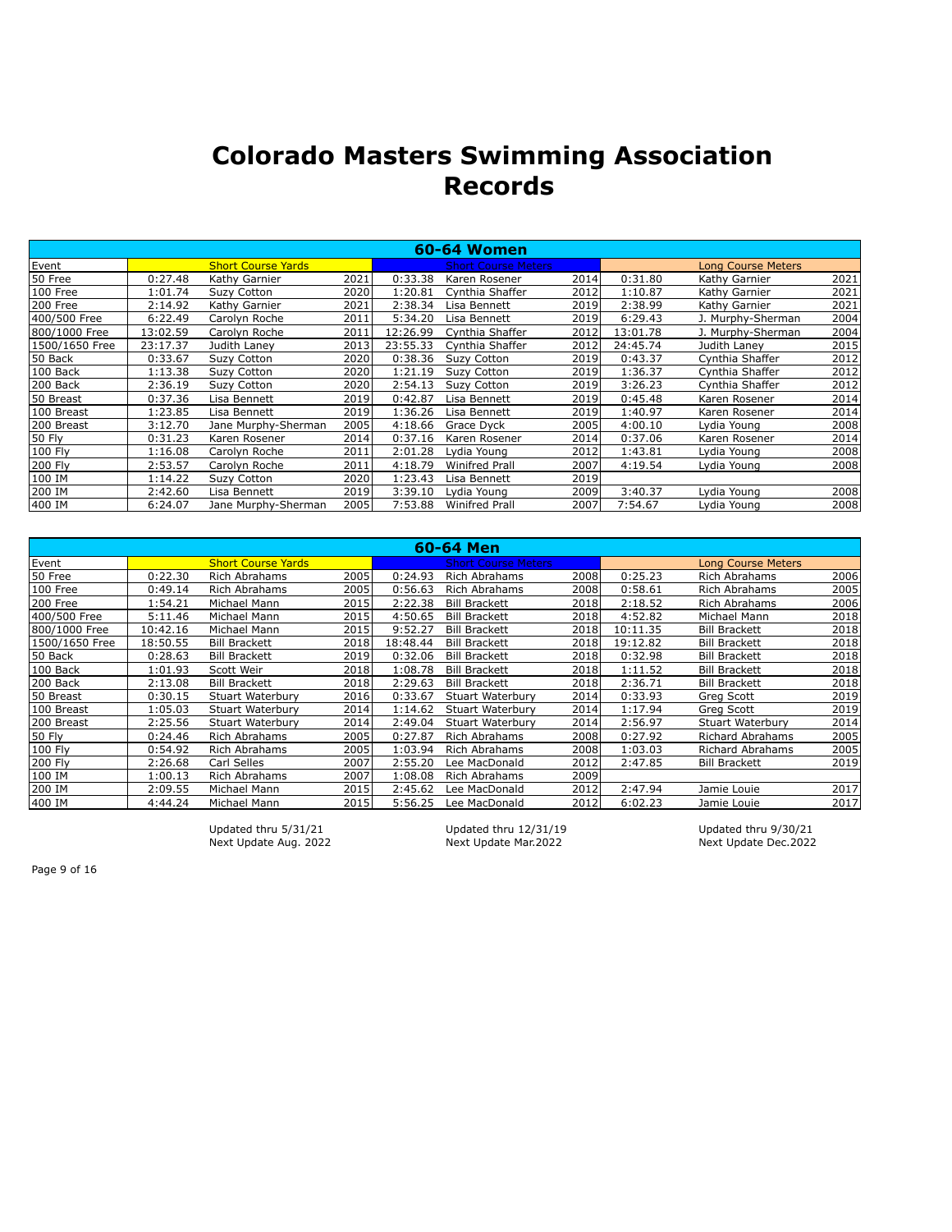|                |          |                           |      |          | <b>60-64 Women</b>         |      |          |                           |      |
|----------------|----------|---------------------------|------|----------|----------------------------|------|----------|---------------------------|------|
| Event          |          | <b>Short Course Yards</b> |      |          | <b>Short Course Meters</b> |      |          | <b>Long Course Meters</b> |      |
| 50 Free        | 0:27.48  | Kathy Garnier             | 2021 | 0:33.38  | Karen Rosener              | 2014 | 0:31.80  | Kathy Garnier             | 2021 |
| 100 Free       | 1:01.74  | <b>Suzy Cotton</b>        | 2020 | 1:20.81  | Cynthia Shaffer            | 2012 | 1:10.87  | Kathy Garnier             | 2021 |
| 200 Free       | 2:14.92  | Kathy Garnier             | 2021 | 2:38.34  | Lisa Bennett               | 2019 | 2:38.99  | Kathy Garnier             | 2021 |
| 400/500 Free   | 6:22.49  | Carolyn Roche             | 2011 | 5:34.20  | Lisa Bennett               | 2019 | 6:29.43  | J. Murphy-Sherman         | 2004 |
| 800/1000 Free  | 13:02.59 | Carolyn Roche             | 2011 | 12:26.99 | Cynthia Shaffer            | 2012 | 13:01.78 | J. Murphy-Sherman         | 2004 |
| 1500/1650 Free | 23:17.37 | Judith Laney              | 2013 | 23:55.33 | Cynthia Shaffer            | 2012 | 24:45.74 | Judith Laney              | 2015 |
| 50 Back        | 0:33.67  | <b>Suzy Cotton</b>        | 2020 | 0:38.36  | <b>Suzy Cotton</b>         | 2019 | 0:43.37  | Cynthia Shaffer           | 2012 |
| 100 Back       | 1:13.38  | Suzy Cotton               | 2020 | 1:21.19  | Suzy Cotton                | 2019 | 1:36.37  | Cynthia Shaffer           | 2012 |
| 200 Back       | 2:36.19  | Suzy Cotton               | 2020 | 2:54.13  | <b>Suzy Cotton</b>         | 2019 | 3:26.23  | Cynthia Shaffer           | 2012 |
| 50 Breast      | 0:37.36  | Lisa Bennett              | 2019 | 0:42.87  | Lisa Bennett               | 2019 | 0:45.48  | Karen Rosener             | 2014 |
| 100 Breast     | 1:23.85  | Lisa Bennett              | 2019 | 1:36.26  | Lisa Bennett               | 2019 | 1:40.97  | Karen Rosener             | 2014 |
| 200 Breast     | 3:12.70  | Jane Murphy-Sherman       | 2005 | 4:18.66  | Grace Dyck                 | 2005 | 4:00.10  | Lydia Young               | 2008 |
| 50 Fly         | 0:31.23  | Karen Rosener             | 2014 | 0:37.16  | Karen Rosener              | 2014 | 0:37.06  | Karen Rosener             | 2014 |
| 100 Fly        | 1:16.08  | Carolyn Roche             | 2011 | 2:01.28  | Lydia Young                | 2012 | 1:43.81  | Lydia Young               | 2008 |
| 200 Fly        | 2:53.57  | Carolyn Roche             | 2011 | 4:18.79  | <b>Winifred Prall</b>      | 2007 | 4:19.54  | Lydia Young               | 2008 |
| 100 IM         | 1:14.22  | Suzy Cotton               | 2020 | 1:23.43  | Lisa Bennett               | 2019 |          |                           |      |
| 200 IM         | 2:42.60  | Lisa Bennett              | 2019 | 3:39.10  | Lydia Young                | 2009 | 3:40.37  | Lydia Young               | 2008 |
| 400 IM         | 6:24.07  | Jane Murphy-Sherman       | 2005 | 7:53.88  | Winifred Prall             | 2007 | 7:54.67  | Lydia Young               | 2008 |

|                 |          |                           |       |          | 60-64 Men                  |       |          |                           |      |
|-----------------|----------|---------------------------|-------|----------|----------------------------|-------|----------|---------------------------|------|
| Event           |          | <b>Short Course Yards</b> |       |          | <b>Short Course Meters</b> |       |          | <b>Long Course Meters</b> |      |
| 50 Free         | 0:22.30  | Rich Abrahams             | 2005l | 0:24.93  | Rich Abrahams              | 2008  | 0:25.23  | <b>Rich Abrahams</b>      | 2006 |
| 100 Free        | 0:49.14  | Rich Abrahams             | 2005l | 0:56.63  | Rich Abrahams              | 2008  | 0:58.61  | <b>Rich Abrahams</b>      | 2005 |
| 200 Free        | 1:54.21  | Michael Mann              | 2015  | 2:22.38  | <b>Bill Brackett</b>       | 2018l | 2:18.52  | Rich Abrahams             | 2006 |
| 400/500 Free    | 5:11.46  | Michael Mann              | 2015  | 4:50.65  | <b>Bill Brackett</b>       | 2018  | 4:52.82  | Michael Mann              | 2018 |
| 800/1000 Free   | 10:42.16 | Michael Mann              | 2015  | 9:52.27  | <b>Bill Brackett</b>       | 2018  | 10:11.35 | <b>Bill Brackett</b>      | 2018 |
| l1500/1650 Free | 18:50.55 | <b>Bill Brackett</b>      | 2018  | 18:48.44 | <b>Bill Brackett</b>       | 2018  | 19:12.82 | <b>Bill Brackett</b>      | 2018 |
| 50 Back         | 0:28.63  | <b>Bill Brackett</b>      | 2019l | 0:32.06  | <b>Bill Brackett</b>       | 2018l | 0:32.98  | <b>Bill Brackett</b>      | 2018 |
| 100 Back        | 1:01.93  | Scott Weir                | 2018  | 1:08.78  | <b>Bill Brackett</b>       | 2018  | 1:11.52  | <b>Bill Brackett</b>      | 2018 |
| 200 Back        | 2:13.08  | <b>Bill Brackett</b>      | 2018  | 2:29.63  | <b>Bill Brackett</b>       | 2018  | 2:36.71  | <b>Bill Brackett</b>      | 2018 |
| 50 Breast       | 0:30.15  | Stuart Waterbury          | 2016  | 0:33.67  | Stuart Waterbury           | 2014  | 0:33.93  | Greg Scott                | 2019 |
| 100 Breast      | 1:05.03  | Stuart Waterbury          | 2014  | 1:14.62  | Stuart Waterbury           | 2014  | 1:17.94  | Greg Scott                | 2019 |
| 200 Breast      | 2:25.56  | Stuart Waterbury          | 2014  | 2:49.04  | Stuart Waterbury           | 2014  | 2:56.97  | Stuart Waterbury          | 2014 |
| 50 Fly          | 0:24.46  | Rich Abrahams             | 2005l | 0:27.87  | Rich Abrahams              | 2008l | 0:27.92  | <b>Richard Abrahams</b>   | 2005 |
| 100 Fly         | 0:54.92  | Rich Abrahams             | 2005  | 1:03.94  | Rich Abrahams              | 2008  | 1:03.03  | <b>Richard Abrahams</b>   | 2005 |
| 200 Fly         | 2:26.68  | Carl Selles               | 2007  | 2:55.20  | Lee MacDonald              | 2012  | 2:47.85  | <b>Bill Brackett</b>      | 2019 |
| 100 IM          | 1:00.13  | Rich Abrahams             | 2007  | 1:08.08  | Rich Abrahams              | 2009  |          |                           |      |
| 200 IM          | 2:09.55  | Michael Mann              | 2015  | 2:45.62  | Lee MacDonald              | 2012  | 2:47.94  | Jamie Louie               | 2017 |
| 400 IM          | 4:44.24  | Michael Mann              | 2015  | 5:56.25  | Lee MacDonald              | 2012  | 6:02.23  | Jamie Louie               | 2017 |

Next Update Aug. 2022

Updated thru 5/31/21 Updated thru 12/31/19 Updated thru 9/30/21<br>Next Update Aug. 2022 Next Update Mar.2022 Next Update Dec.2022

Page 9 of 16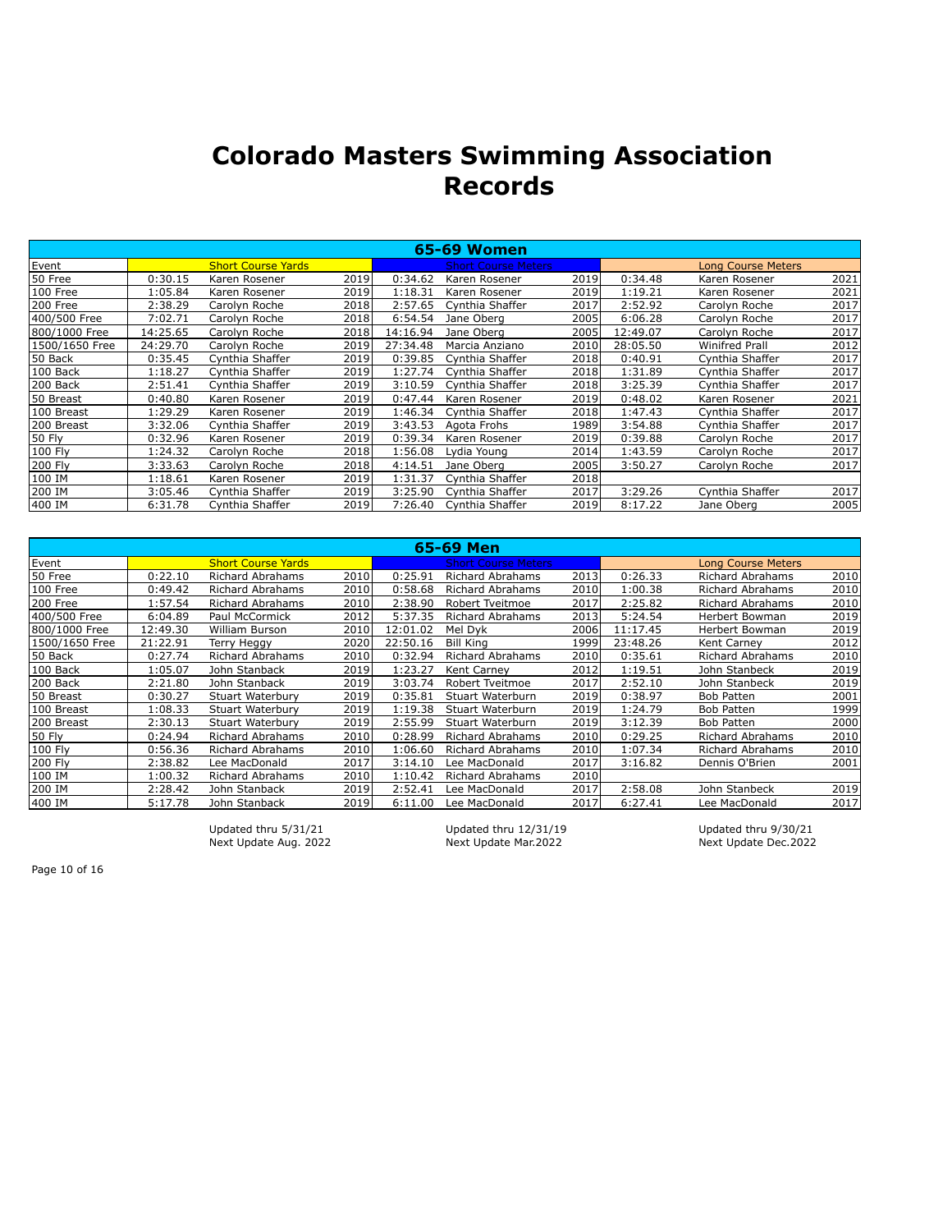|                |          |                           |       |          | <b>65-69 Women</b>         |      |          |                           |      |
|----------------|----------|---------------------------|-------|----------|----------------------------|------|----------|---------------------------|------|
| Event          |          | <b>Short Course Yards</b> |       |          | <b>Short Course Meters</b> |      |          | <b>Long Course Meters</b> |      |
| 50 Free        | 0:30.15  | Karen Rosener             | 2019  | 0:34.62  | Karen Rosener              | 2019 | 0:34.48  | Karen Rosener             | 2021 |
| 100 Free       | 1:05.84  | Karen Rosener             | 2019  | 1:18.31  | Karen Rosener              | 2019 | 1:19.21  | Karen Rosener             | 2021 |
| 200 Free       | 2:38.29  | Carolyn Roche             | 2018  | 2:57.65  | Cynthia Shaffer            | 2017 | 2:52.92  | Carolyn Roche             | 2017 |
| 400/500 Free   | 7:02.71  | Carolyn Roche             | 2018  | 6:54.54  | Jane Oberg                 | 2005 | 6:06.28  | Carolyn Roche             | 2017 |
| 800/1000 Free  | 14:25.65 | Carolyn Roche             | 2018  | 14:16.94 | Jane Oberg                 | 2005 | 12:49.07 | Carolyn Roche             | 2017 |
| 1500/1650 Free | 24:29.70 | Carolyn Roche             | 2019  | 27:34.48 | Marcia Anziano             | 2010 | 28:05.50 | <b>Winifred Prall</b>     | 2012 |
| 50 Back        | 0:35.45  | Cynthia Shaffer           | 2019  | 0:39.85  | Cynthia Shaffer            | 2018 | 0:40.91  | Cynthia Shaffer           | 2017 |
| 100 Back       | 1:18.27  | Cynthia Shaffer           | 2019  | 1:27.74  | Cynthia Shaffer            | 2018 | 1:31.89  | Cynthia Shaffer           | 2017 |
| 200 Back       | 2:51.41  | Cynthia Shaffer           | 2019l | 3:10.59  | Cynthia Shaffer            | 2018 | 3:25.39  | Cynthia Shaffer           | 2017 |
| 50 Breast      | 0:40.80  | Karen Rosener             | 2019  | 0:47.44  | Karen Rosener              | 2019 | 0:48.02  | Karen Rosener             | 2021 |
| 100 Breast     | 1:29.29  | Karen Rosener             | 2019  | 1:46.34  | Cynthia Shaffer            | 2018 | 1:47.43  | Cynthia Shaffer           | 2017 |
| 200 Breast     | 3:32.06  | Cynthia Shaffer           | 2019  | 3:43.53  | Agota Frohs                | 1989 | 3:54.88  | Cynthia Shaffer           | 2017 |
| 50 Fly         | 0:32.96  | Karen Rosener             | 2019  | 0:39.34  | Karen Rosener              | 2019 | 0:39.88  | Carolyn Roche             | 2017 |
| 100 Fly        | 1:24.32  | Carolyn Roche             | 2018  | 1:56.08  | Lydia Young                | 2014 | 1:43.59  | Carolyn Roche             | 2017 |
| 200 Fly        | 3:33.63  | Carolyn Roche             | 2018  | 4:14.51  | Jane Oberg                 | 2005 | 3:50.27  | Carolyn Roche             | 2017 |
| 100 IM         | 1:18.61  | Karen Rosener             | 2019  | 1:31.37  | Cynthia Shaffer            | 2018 |          |                           |      |
| 200 IM         | 3:05.46  | Cynthia Shaffer           | 2019  | 3:25.90  | Cynthia Shaffer            | 2017 | 3:29.26  | Cynthia Shaffer           | 2017 |
| 400 IM         | 6:31.78  | Cynthia Shaffer           | 2019  | 7:26.40  | Cynthia Shaffer            | 2019 | 8:17.22  | Jane Oberg                | 2005 |

|                |          |                           |       |          | 65-69 Men                  |      |          |                           |      |
|----------------|----------|---------------------------|-------|----------|----------------------------|------|----------|---------------------------|------|
| Event          |          | <b>Short Course Yards</b> |       |          | <b>Short Course Meters</b> |      |          | <b>Long Course Meters</b> |      |
| 50 Free        | 0:22.10  | Richard Abrahams          | 2010  | 0:25.91  | <b>Richard Abrahams</b>    | 2013 | 0:26.33  | <b>Richard Abrahams</b>   | 2010 |
| 100 Free       | 0:49.42  | <b>Richard Abrahams</b>   | 2010  | 0:58.68  | <b>Richard Abrahams</b>    | 2010 | 1:00.38  | <b>Richard Abrahams</b>   | 2010 |
| 200 Free       | 1:57.54  | <b>Richard Abrahams</b>   | 2010  | 2:38.90  | Robert Tveitmoe            | 2017 | 2:25.82  | <b>Richard Abrahams</b>   | 2010 |
| 400/500 Free   | 6:04.89  | Paul McCormick            | 2012  | 5:37.35  | Richard Abrahams           | 2013 | 5:24.54  | Herbert Bowman            | 2019 |
| 800/1000 Free  | 12:49.30 | William Burson            | 2010  | 12:01.02 | Mel Dyk                    | 2006 | 11:17.45 | Herbert Bowman            | 2019 |
| 1500/1650 Free | 21:22.91 | Terry Heggy               | 2020  | 22:50.16 | <b>Bill King</b>           | 1999 | 23:48.26 | <b>Kent Carnev</b>        | 2012 |
| 50 Back        | 0:27.74  | Richard Abrahams          | 2010  | 0:32.94  | Richard Abrahams           | 2010 | 0:35.61  | <b>Richard Abrahams</b>   | 2010 |
| 100 Back       | 1:05.07  | John Stanback             | 2019  | 1:23.27  | Kent Carney                | 2012 | 1:19.51  | John Stanbeck             | 2019 |
| 200 Back       | 2:21.80  | John Stanback             | 2019  | 3:03.74  | Robert Tveitmoe            | 2017 | 2:52.10  | John Stanbeck             | 2019 |
| 50 Breast      | 0:30.27  | Stuart Waterbury          | 2019  | 0:35.81  | Stuart Waterburn           | 2019 | 0:38.97  | <b>Bob Patten</b>         | 2001 |
| 100 Breast     | 1:08.33  | <b>Stuart Waterbury</b>   | 2019  | 1:19.38  | Stuart Waterburn           | 2019 | 1:24.79  | <b>Bob Patten</b>         | 1999 |
| 200 Breast     | 2:30.13  | Stuart Waterbury          | 2019  | 2:55.99  | Stuart Waterburn           | 2019 | 3:12.39  | <b>Bob Patten</b>         | 2000 |
| 50 Fly         | 0:24.94  | <b>Richard Abrahams</b>   | 2010l | 0:28.99  | <b>Richard Abrahams</b>    | 2010 | 0:29.25  | <b>Richard Abrahams</b>   | 2010 |
| 100 Flv        | 0:56.36  | Richard Abrahams          | 2010l | 1:06.60  | <b>Richard Abrahams</b>    | 2010 | 1:07.34  | <b>Richard Abrahams</b>   | 2010 |
| 200 Fly        | 2:38.82  | Lee MacDonald             | 2017  | 3:14.10  | Lee MacDonald              | 2017 | 3:16.82  | Dennis O'Brien            | 2001 |
| 100 IM         | 1:00.32  | Richard Abrahams          | 2010  | 1:10.42  | <b>Richard Abrahams</b>    | 2010 |          |                           |      |
| 200 IM         | 2:28.42  | John Stanback             | 2019  | 2:52.41  | ee MacDonald               | 2017 | 2:58.08  | John Stanbeck             | 2019 |
| 400 IM         | 5:17.78  | John Stanback             | 2019  | 6:11.00  | Lee MacDonald              | 2017 | 6:27.41  | Lee MacDonald             | 2017 |

Next Update Aug. 2022

Updated thru 5/31/21 Updated thru 12/31/19 Updated thru 9/30/21<br>Next Update Aug. 2022 Next Update Mar.2022 Next Update Dec.2022

Page 10 of 16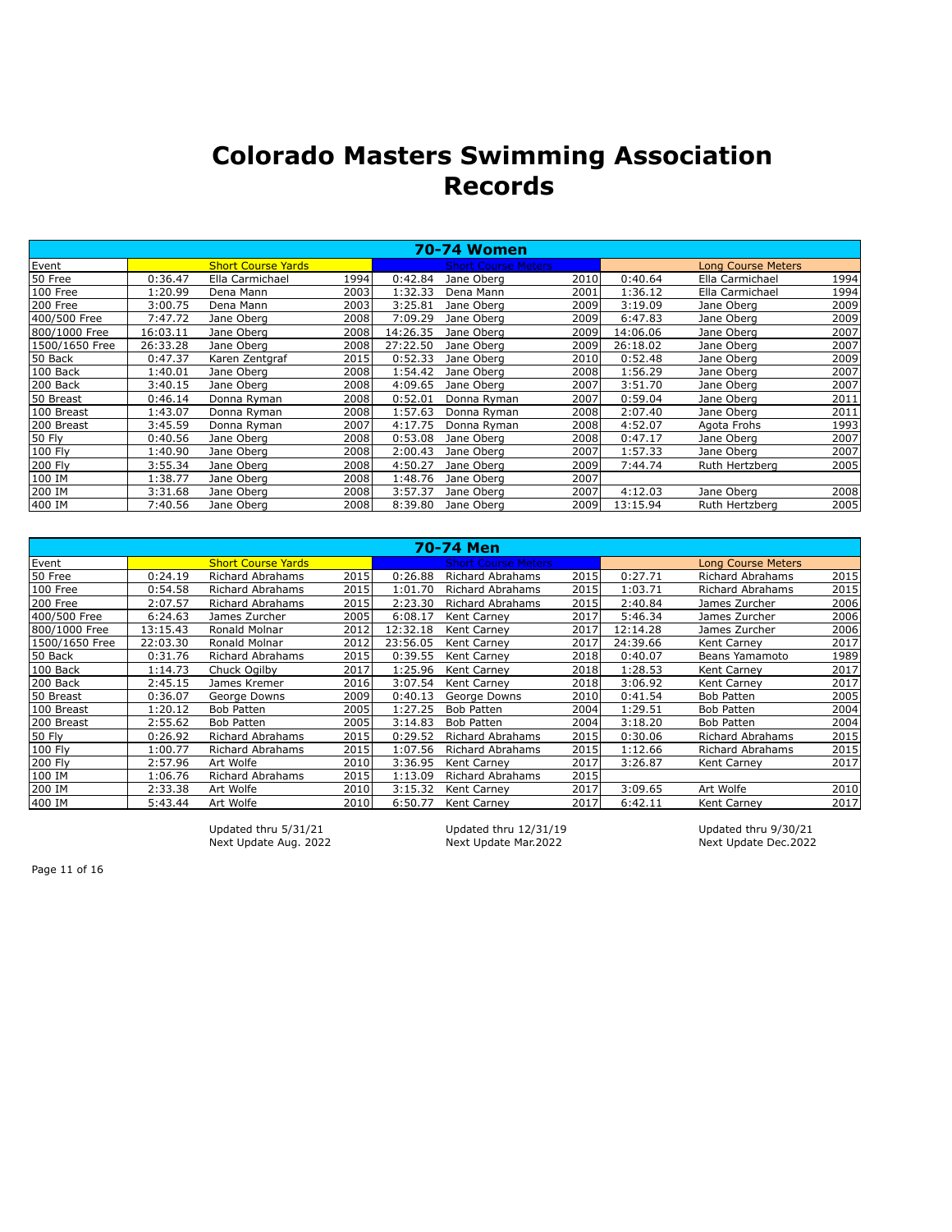|                |          |                           |      |          | <b>70-74 Women</b>         |      |          |                           |      |
|----------------|----------|---------------------------|------|----------|----------------------------|------|----------|---------------------------|------|
| Event          |          | <b>Short Course Yards</b> |      |          | <b>Short Course Meters</b> |      |          | <b>Long Course Meters</b> |      |
| 50 Free        | 0:36.47  | Ella Carmichael           | 1994 | 0:42.84  | Jane Oberg                 | 2010 | 0:40.64  | Ella Carmichael           | 1994 |
| 100 Free       | 1:20.99  | Dena Mann                 | 2003 | 1:32.33  | Dena Mann                  | 2001 | 1:36.12  | Ella Carmichael           | 1994 |
| 200 Free       | 3:00.75  | Dena Mann                 | 2003 | 3:25.81  | Jane Oberg                 | 2009 | 3:19.09  | Jane Oberg                | 2009 |
| 400/500 Free   | 7:47.72  | Jane Oberg                | 2008 | 7:09.29  | Jane Oberg                 | 2009 | 6:47.83  | Jane Oberg                | 2009 |
| 800/1000 Free  | 16:03.11 | Jane Oberg                | 2008 | 14:26.35 | Jane Oberg                 | 2009 | 14:06.06 | Jane Oberg                | 2007 |
| 1500/1650 Free | 26:33.28 | Jane Oberg                | 2008 | 27:22.50 | Jane Oberg                 | 2009 | 26:18.02 | Jane Oberg                | 2007 |
| 50 Back        | 0:47.37  | Karen Zentgraf            | 2015 | 0:52.33  | Jane Oberg                 | 2010 | 0:52.48  | Jane Oberg                | 2009 |
| 100 Back       | 1:40.01  | Jane Oberg                | 2008 | 1:54.42  | Jane Oberg                 | 2008 | 1:56.29  | Jane Oberg                | 2007 |
| 200 Back       | 3:40.15  | Jane Oberg                | 2008 | 4:09.65  | Jane Oberg                 | 2007 | 3:51.70  | Jane Oberg                | 2007 |
| 50 Breast      | 0:46.14  | Donna Ryman               | 2008 | 0:52.01  | Donna Ryman                | 2007 | 0:59.04  | Jane Oberg                | 2011 |
| 100 Breast     | 1:43.07  | Donna Ryman               | 2008 | 1:57.63  | Donna Ryman                | 2008 | 2:07.40  | Jane Oberg                | 2011 |
| 200 Breast     | 3:45.59  | Donna Ryman               | 2007 | 4:17.75  | Donna Ryman                | 2008 | 4:52.07  | Agota Frohs               | 1993 |
| 50 Fly         | 0:40.56  | Jane Oberg                | 2008 | 0:53.08  | Jane Oberg                 | 2008 | 0:47.17  | Jane Oberg                | 2007 |
| 100 Fly        | 1:40.90  | Jane Oberg                | 2008 | 2:00.43  | Jane Oberg                 | 2007 | 1:57.33  | Jane Oberg                | 2007 |
| 200 Fly        | 3:55.34  | Jane Oberg                | 2008 | 4:50.27  | Jane Oberg                 | 2009 | 7:44.74  | Ruth Hertzberg            | 2005 |
| 100 IM         | 1:38.77  | Jane Oberg                | 2008 | 1:48.76  | Jane Oberg                 | 2007 |          |                           |      |
| 200 IM         | 3:31.68  | Jane Oberg                | 2008 | 3:57.37  | Jane Oberg                 | 2007 | 4:12.03  | Jane Oberg                | 2008 |
| 400 IM         | 7:40.56  | Jane Oberg                | 2008 | 8:39.80  | Jane Oberg                 | 2009 | 13:15.94 | Ruth Hertzberg            | 2005 |

|                |          |                           |       |          | <b>70-74 Men</b>           |      |          |                           |      |
|----------------|----------|---------------------------|-------|----------|----------------------------|------|----------|---------------------------|------|
| Event          |          | <b>Short Course Yards</b> |       |          | <b>Short Course Meters</b> |      |          | <b>Long Course Meters</b> |      |
| 50 Free        | 0:24.19  | Richard Abrahams          | 2015  | 0:26.88  | <b>Richard Abrahams</b>    | 2015 | 0:27.71  | <b>Richard Abrahams</b>   | 2015 |
| 100 Free       | 0:54.58  | <b>Richard Abrahams</b>   | 2015  | 1:01.70  | <b>Richard Abrahams</b>    | 2015 | 1:03.71  | <b>Richard Abrahams</b>   | 2015 |
| 200 Free       | 2:07.57  | <b>Richard Abrahams</b>   | 2015  | 2:23.30  | <b>Richard Abrahams</b>    | 2015 | 2:40.84  | James Zurcher             | 2006 |
| 400/500 Free   | 6:24.63  | James Zurcher             | 2005  | 6:08.17  | Kent Carney                | 2017 | 5:46.34  | James Zurcher             | 2006 |
| 800/1000 Free  | 13:15.43 | Ronald Molnar             | 2012  | 12:32.18 | Kent Carnev                | 2017 | 12:14.28 | James Zurcher             | 2006 |
| 1500/1650 Free | 22:03.30 | Ronald Molnar             | 2012  | 23:56.05 | Kent Carney                | 2017 | 24:39.66 | Kent Carney               | 2017 |
| 50 Back        | 0:31.76  | Richard Abrahams          | 2015  | 0:39.55  | Kent Carney                | 2018 | 0:40.07  | Beans Yamamoto            | 1989 |
| 100 Back       | 1:14.73  | Chuck Ogilby              | 2017  | 1:25.96  | Kent Carney                | 2018 | 1:28.53  | Kent Carney               | 2017 |
| 200 Back       | 2:45.15  | James Kremer              | 2016l | 3:07.54  | Kent Carney                | 2018 | 3:06.92  | <b>Kent Carnev</b>        | 2017 |
| 50 Breast      | 0:36.07  | George Downs              | 2009  | 0:40.13  | George Downs               | 2010 | 0:41.54  | <b>Bob Patten</b>         | 2005 |
| 100 Breast     | 1:20.12  | <b>Bob Patten</b>         | 2005  | 1:27.25  | <b>Bob Patten</b>          | 2004 | 1:29.51  | <b>Bob Patten</b>         | 2004 |
| 200 Breast     | 2:55.62  | <b>Bob Patten</b>         | 2005l | 3:14.83  | <b>Bob Patten</b>          | 2004 | 3:18.20  | <b>Bob Patten</b>         | 2004 |
| 50 Fly         | 0:26.92  | <b>Richard Abrahams</b>   | 2015  | 0:29.52  | <b>Richard Abrahams</b>    | 2015 | 0:30.06  | <b>Richard Abrahams</b>   | 2015 |
| 100 Flv        | 1:00.77  | <b>Richard Abrahams</b>   | 2015  | 1:07.56  | Richard Abrahams           | 2015 | 1:12.66  | <b>Richard Abrahams</b>   | 2015 |
| 200 Fly        | 2:57.96  | Art Wolfe                 | 2010  | 3:36.95  | Kent Carney                | 2017 | 3:26.87  | Kent Carney               | 2017 |
| 100 IM         | 1:06.76  | Richard Abrahams          | 2015  | 1:13.09  | Richard Abrahams           | 2015 |          |                           |      |
| 200 IM         | 2:33.38  | Art Wolfe                 | 2010l | 3:15.32  | Kent Carney                | 2017 | 3:09.65  | Art Wolfe                 | 2010 |
| 400 IM         | 5:43.44  | Art Wolfe                 | 2010l | 6:50.77  | Kent Carney                | 2017 | 6:42.11  | Kent Carney               | 2017 |

Next Update Aug. 2022

Updated thru 5/31/21 Updated thru 12/31/19 Updated thru 9/30/21<br>Next Update Aug. 2022 Next Update Mar.2022 Next Update Dec.2022

Page 11 of 16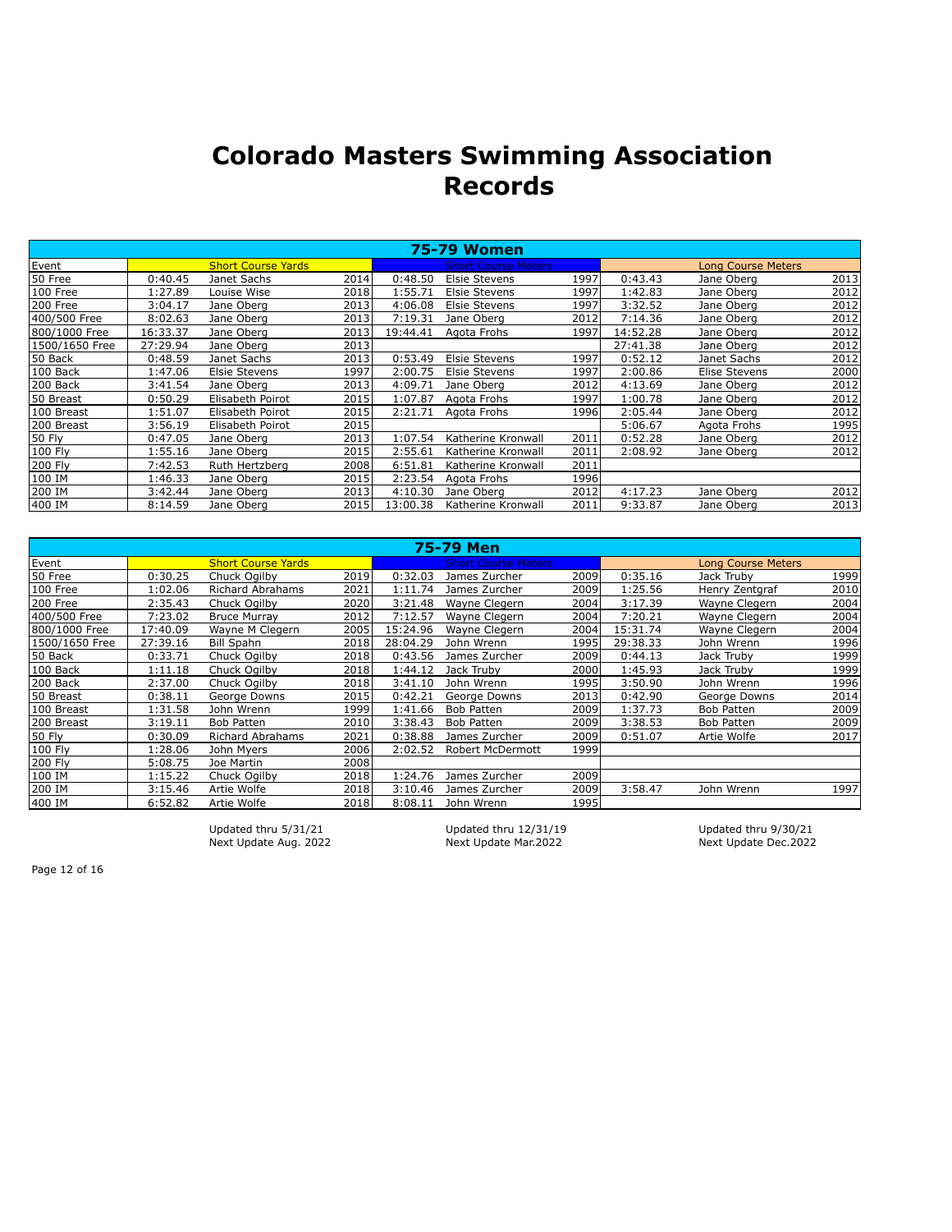|                |          |                           |      |          | <b>75-79 Women</b>         |      |          |                           |      |
|----------------|----------|---------------------------|------|----------|----------------------------|------|----------|---------------------------|------|
| Event          |          | <b>Short Course Yards</b> |      |          | <b>Short Course Meters</b> |      |          | <b>Long Course Meters</b> |      |
| 50 Free        | 0:40.45  | Janet Sachs               | 2014 | 0:48.50  | <b>Elsie Stevens</b>       | 1997 | 0:43.43  | Jane Oberg                | 2013 |
| 100 Free       | 1:27.89  | Louise Wise               | 2018 | 1:55.71  | <b>Elsie Stevens</b>       | 1997 | 1:42.83  | Jane Oberg                | 2012 |
| 200 Free       | 3:04.17  | Jane Oberg                | 2013 | 4:06.08  | <b>Elsie Stevens</b>       | 1997 | 3:32.52  | Jane Oberg                | 2012 |
| 400/500 Free   | 8:02.63  | Jane Oberg                | 2013 | 7:19.31  | Jane Oberg                 | 2012 | 7:14.36  | Jane Oberg                | 2012 |
| 800/1000 Free  | 16:33.37 | Jane Oberg                | 2013 | 19:44.41 | Agota Frohs                | 1997 | 14:52.28 | Jane Oberg                | 2012 |
| 1500/1650 Free | 27:29.94 | Jane Oberg                | 2013 |          |                            |      | 27:41.38 | Jane Oberg                | 2012 |
| 50 Back        | 0:48.59  | Janet Sachs               | 2013 | 0:53.49  | <b>Elsie Stevens</b>       | 1997 | 0:52.12  | Janet Sachs               | 2012 |
| 100 Back       | 1:47.06  | <b>Elsie Stevens</b>      | 1997 | 2:00.75  | <b>Elsie Stevens</b>       | 1997 | 2:00.86  | Elise Stevens             | 2000 |
| 200 Back       | 3:41.54  | Jane Oberg                | 2013 | 4:09.71  | Jane Oberg                 | 2012 | 4:13.69  | Jane Oberg                | 2012 |
| 50 Breast      | 0:50.29  | Elisabeth Poirot          | 2015 | 1:07.87  | Agota Frohs                | 1997 | 1:00.78  | Jane Oberg                | 2012 |
| 100 Breast     | 1:51.07  | Elisabeth Poirot          | 2015 | 2:21.71  | Agota Frohs                | 1996 | 2:05.44  | Jane Oberg                | 2012 |
| 200 Breast     | 3:56.19  | Elisabeth Poirot          | 2015 |          |                            |      | 5:06.67  | Agota Frohs               | 1995 |
| 50 Fly         | 0:47.05  | Jane Oberg                | 2013 | 1:07.54  | Katherine Kronwall         | 2011 | 0:52.28  | Jane Oberg                | 2012 |
| 100 Fly        | 1:55.16  | Jane Oberg                | 2015 | 2:55.61  | Katherine Kronwall         | 2011 | 2:08.92  | Jane Oberg                | 2012 |
| 200 Fly        | 7:42.53  | Ruth Hertzberg            | 2008 | 6:51.81  | Katherine Kronwall         | 2011 |          |                           |      |
| 100 IM         | 1:46.33  | Jane Oberg                | 2015 | 2:23.54  | Agota Frohs                | 1996 |          |                           |      |
| 200 IM         | 3:42.44  | Jane Oberg                | 2013 | 4:10.30  | Jane Oberg                 | 2012 | 4:17.23  | Jane Oberg                | 2012 |
| 400 IM         | 8:14.59  | Jane Oberg                | 2015 | 13:00.38 | Katherine Kronwall         | 2011 | 9:33.87  | Jane Oberg                | 2013 |

|                |          |                           |       |          | 75-79 Men                  |      |          |                           |      |
|----------------|----------|---------------------------|-------|----------|----------------------------|------|----------|---------------------------|------|
| Event          |          | <b>Short Course Yards</b> |       |          | <b>Short Course Meters</b> |      |          | <b>Long Course Meters</b> |      |
| 50 Free        | 0:30.25  | Chuck Ogilby              | 2019l | 0:32.03  | James Zurcher              | 2009 | 0:35.16  | Jack Truby                | 1999 |
| 100 Free       | 1:02.06  | Richard Abrahams          | 2021  | 1:11.74  | James Zurcher              | 2009 | 1:25.56  | Henry Zentgraf            | 2010 |
| 200 Free       | 2:35.43  | Chuck Ogilby              | 2020  | 3:21.48  | Wayne Clegern              | 2004 | 3:17.39  | Wayne Clegern             | 2004 |
| 400/500 Free   | 7:23.02  | <b>Bruce Murrav</b>       | 2012  | 7:12.57  | Wayne Clegern              | 2004 | 7:20.21  | Wayne Clegern             | 2004 |
| 800/1000 Free  | 17:40.09 | Wayne M Clegern           | 2005  | 15:24.96 | Wayne Clegern              | 2004 | 15:31.74 | Wayne Clegern             | 2004 |
| 1500/1650 Free | 27:39.16 | <b>Bill Spahn</b>         | 2018  | 28:04.29 | John Wrenn                 | 1995 | 29:38.33 | John Wrenn                | 1996 |
| 50 Back        | 0:33.71  | Chuck Ogilby              | 2018  | 0:43.56  | James Zurcher              | 2009 | 0:44.13  | Jack Truby                | 1999 |
| 100 Back       | 1:11.18  | Chuck Ogilby              | 2018  | 1:44.12  | Jack Trubv                 | 2000 | 1:45.93  | Jack Truby                | 1999 |
| 200 Back       | 2:37.00  | Chuck Ogilby              | 2018  | 3:41.10  | John Wrenn                 | 1995 | 3:50.90  | John Wrenn                | 1996 |
| 50 Breast      | 0:38.11  | George Downs              | 2015  | 0:42.21  | George Downs               | 2013 | 0:42.90  | George Downs              | 2014 |
| 100 Breast     | 1:31.58  | John Wrenn                | 1999  | 1:41.66  | <b>Bob Patten</b>          | 2009 | 1:37.73  | <b>Bob Patten</b>         | 2009 |
| 200 Breast     | 3:19.11  | <b>Bob Patten</b>         | 2010l | 3:38.43  | <b>Bob Patten</b>          | 2009 | 3:38.53  | <b>Bob Patten</b>         | 2009 |
| 50 Fly         | 0:30.09  | Richard Abrahams          | 2021  | 0:38.88  | James Zurcher              | 2009 | 0:51.07  | Artie Wolfe               | 2017 |
| 100 Fly        | 1:28.06  | John Myers                | 2006  | 2:02.52  | Robert McDermott           | 1999 |          |                           |      |
| 200 Fly        | 5:08.75  | Joe Martin                | 2008  |          |                            |      |          |                           |      |
| 100 IM         | 1:15.22  | Chuck Ogilby              | 2018  | 1:24.76  | James Zurcher              | 2009 |          |                           |      |
| 200 IM         | 3:15.46  | Artie Wolfe               | 2018  | 3:10.46  | James Zurcher              | 2009 | 3:58.47  | John Wrenn                | 1997 |
| 400 IM         | 6:52.82  | Artie Wolfe               | 2018  | 8:08.11  | John Wrenn                 | 1995 |          |                           |      |

Updated thru 5/31/21 Updated thru 12/31/19 Updated thru 9/30/21<br>Next Update Aug. 2022 Next Update Mar.2022 Next Update Dec.2022 Next Update Aug. 2022

Page 12 of 16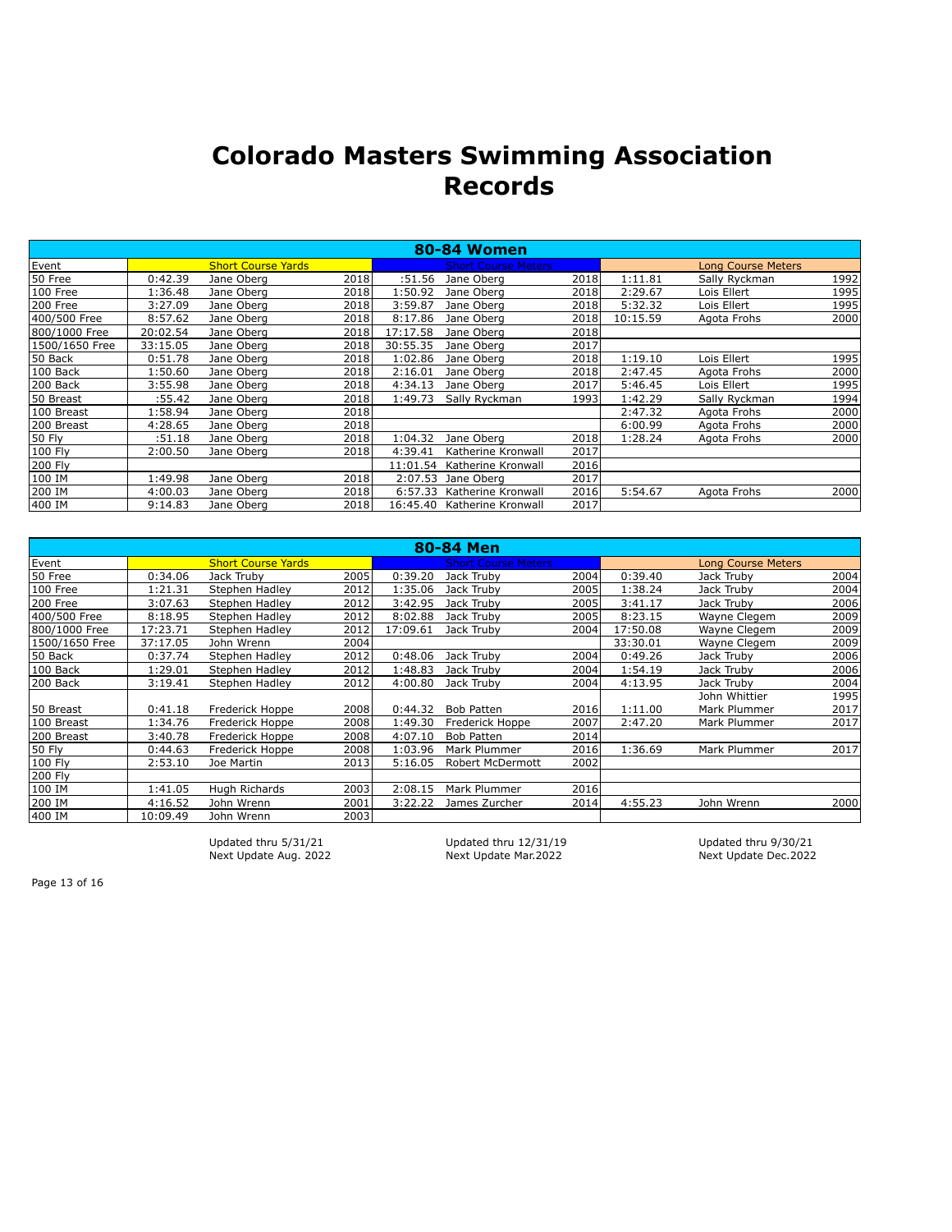|                |          |                           |      |          | <b>80-84 Women</b>          |       |          |                           |      |
|----------------|----------|---------------------------|------|----------|-----------------------------|-------|----------|---------------------------|------|
| Event          |          | <b>Short Course Yards</b> |      |          | <b>Short Course Meters</b>  |       |          | <b>Long Course Meters</b> |      |
| 50 Free        | 0:42.39  | Jane Oberg                | 2018 | :51.56   | Jane Oberg                  | 2018  | 1:11.81  | Sally Ryckman             | 1992 |
| 100 Free       | 1:36.48  | Jane Oberg                | 2018 | 1:50.92  | Jane Oberg                  | 2018  | 2:29.67  | Lois Ellert               | 1995 |
| 200 Free       | 3:27.09  | Jane Oberg                | 2018 | 3:59.87  | Jane Oberg                  | 2018l | 5:32.32  | Lois Ellert               | 1995 |
| 400/500 Free   | 8:57.62  | Jane Oberg                | 2018 | 8:17.86  | Jane Oberg                  | 2018  | 10:15.59 | Agota Frohs               | 2000 |
| 800/1000 Free  | 20:02.54 | Jane Oberg                | 2018 | 17:17.58 | Jane Oberg                  | 2018  |          |                           |      |
| 1500/1650 Free | 33:15.05 | Jane Oberg                | 2018 | 30:55.35 | Jane Oberg                  | 2017  |          |                           |      |
| 50 Back        | 0:51.78  | Jane Oberg                | 2018 | 1:02.86  | Jane Oberg                  | 2018  | 1:19.10  | Lois Ellert               | 1995 |
| 100 Back       | 1:50.60  | Jane Oberg                | 2018 | 2:16.01  | Jane Oberg                  | 2018  | 2:47.45  | Agota Frohs               | 2000 |
| 200 Back       | 3:55.98  | Jane Oberg                | 2018 | 4:34.13  | Jane Oberg                  | 2017  | 5:46.45  | Lois Ellert               | 1995 |
| 50 Breast      | :55.42   | Jane Oberg                | 2018 | 1:49.73  | Sally Ryckman               | 1993  | 1:42.29  | Sally Ryckman             | 1994 |
| 100 Breast     | 1:58.94  | Jane Oberg                | 2018 |          |                             |       | 2:47.32  | Agota Frohs               | 2000 |
| 200 Breast     | 4:28.65  | Jane Oberg                | 2018 |          |                             |       | 6:00.99  | Agota Frohs               | 2000 |
| <b>50 Fly</b>  | :51.18   | Jane Oberg                | 2018 | 1:04.32  | Jane Oberg                  | 2018  | 1:28.24  | Agota Frohs               | 2000 |
| 100 Fly        | 2:00.50  | Jane Oberg                | 2018 | 4:39.41  | Katherine Kronwall          | 2017  |          |                           |      |
| 200 Fly        |          |                           |      | 11:01.54 | Katherine Kronwall          | 2016  |          |                           |      |
| 100 IM         | 1:49.98  | Jane Oberg                | 2018 | 2:07.53  | Jane Oberg                  | 2017  |          |                           |      |
| 200 IM         | 4:00.03  | Jane Oberg                | 2018 | 6:57.33  | Katherine Kronwall          | 2016  | 5:54.67  | Agota Frohs               | 2000 |
| 400 IM         | 9:14.83  | Jane Oberg                | 2018 |          | 16:45.40 Katherine Kronwall | 2017  |          |                           |      |

| 80-84 Men      |          |                           |      |          |                            |      |          |                           |      |
|----------------|----------|---------------------------|------|----------|----------------------------|------|----------|---------------------------|------|
| <b>Event</b>   |          | <b>Short Course Yards</b> |      |          | <b>Short Course Meters</b> |      |          | <b>Long Course Meters</b> |      |
| 50 Free        | 0:34.06  | Jack Truby                | 2005 | 0:39.20  | Jack Truby                 | 2004 | 0:39.40  | Jack Truby                | 2004 |
| 100 Free       | 1:21.31  | Stephen Hadley            | 2012 | 1:35.06  | Jack Truby                 | 2005 | 1:38.24  | Jack Truby                | 2004 |
| 200 Free       | 3:07.63  | Stephen Hadlev            | 2012 | 3:42.95  | Jack Truby                 | 2005 | 3:41.17  | Jack Truby                | 2006 |
| 400/500 Free   | 8:18.95  | Stephen Hadley            | 2012 | 8:02.88  | Jack Truby                 | 2005 | 8:23.15  | Wayne Clegem              | 2009 |
| 800/1000 Free  | 17:23.71 | Stephen Hadlev            | 2012 | 17:09.61 | Jack Truby                 | 2004 | 17:50.08 | Wayne Clegem              | 2009 |
| 1500/1650 Free | 37:17.05 | John Wrenn                | 2004 |          |                            |      | 33:30.01 | Wayne Clegem              | 2009 |
| 50 Back        | 0:37.74  | Stephen Hadley            | 2012 | 0:48.06  | Jack Truby                 | 2004 | 0:49.26  | Jack Truby                | 2006 |
| 100 Back       | 1:29.01  | Stephen Hadley            | 2012 | 1:48.83  | Jack Truby                 | 2004 | 1:54.19  | Jack Truby                | 2006 |
| 200 Back       | 3:19.41  | Stephen Hadley            | 2012 | 4:00.80  | Jack Truby                 | 2004 | 4:13.95  | Jack Truby                | 2004 |
|                |          |                           |      |          |                            |      |          | John Whittier             | 1995 |
| 50 Breast      | 0:41.18  | Frederick Hoppe           | 2008 | 0:44.32  | <b>Bob Patten</b>          | 2016 | 1:11.00  | Mark Plummer              | 2017 |
| 100 Breast     | 1:34.76  | Frederick Hoppe           | 2008 | 1:49.30  | Frederick Hoppe            | 2007 | 2:47.20  | Mark Plummer              | 2017 |
| 200 Breast     | 3:40.78  | Frederick Hoppe           | 2008 | 4:07.10  | <b>Bob Patten</b>          | 2014 |          |                           |      |
| <b>50 Fly</b>  | 0:44.63  | Frederick Hoppe           | 2008 | 1:03.96  | Mark Plummer               | 2016 | 1:36.69  | Mark Plummer              | 2017 |
| 100 Fly        | 2:53.10  | Joe Martin                | 2013 | 5:16.05  | Robert McDermott           | 2002 |          |                           |      |
| 200 Fly        |          |                           |      |          |                            |      |          |                           |      |
| 100 IM         | 1:41.05  | Hugh Richards             | 2003 | 2:08.15  | Mark Plummer               | 2016 |          |                           |      |
| 200 IM         | 4:16.52  | John Wrenn                | 2001 | 3:22.22  | James Zurcher              | 2014 | 4:55.23  | John Wrenn                | 2000 |
| 400 IM         | 10:09.49 | John Wrenn                | 2003 |          |                            |      |          |                           |      |

Updated thru 5/31/21 Updated thru 12/31/19 Updated thru 9/30/21 Next Update Aug. 2022 Next Update Mar.2022 Next Update Dec.2022

Page 13 of 16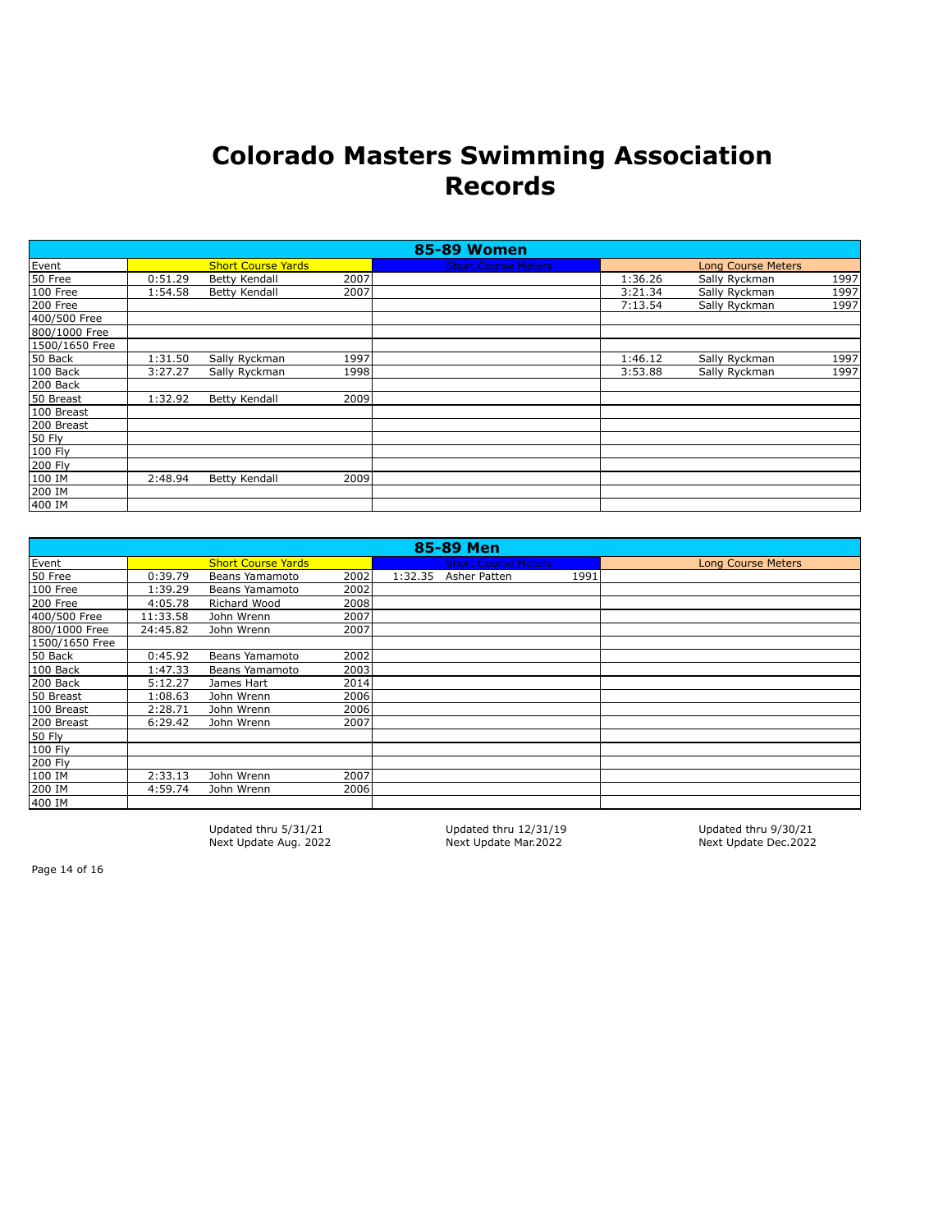|                |         |                           |      | <b>85-89 Women</b>         |         |                           |      |
|----------------|---------|---------------------------|------|----------------------------|---------|---------------------------|------|
| Event          |         | <b>Short Course Yards</b> |      | <b>Short Course Meters</b> |         | <b>Long Course Meters</b> |      |
| 50 Free        | 0:51.29 | <b>Betty Kendall</b>      | 2007 |                            | 1:36.26 | Sally Ryckman             | 1997 |
| 100 Free       | 1:54.58 | <b>Betty Kendall</b>      | 2007 |                            | 3:21.34 | Sally Ryckman             | 1997 |
| 200 Free       |         |                           |      |                            | 7:13.54 | Sally Ryckman             | 1997 |
| 400/500 Free   |         |                           |      |                            |         |                           |      |
| 800/1000 Free  |         |                           |      |                            |         |                           |      |
| 1500/1650 Free |         |                           |      |                            |         |                           |      |
| 50 Back        | 1:31.50 | Sally Ryckman             | 1997 |                            | 1:46.12 | Sally Ryckman             | 1997 |
| 100 Back       | 3:27.27 | Sally Ryckman             | 1998 |                            | 3:53.88 | Sally Ryckman             | 1997 |
| 200 Back       |         |                           |      |                            |         |                           |      |
| 50 Breast      | 1:32.92 | <b>Betty Kendall</b>      | 2009 |                            |         |                           |      |
| 100 Breast     |         |                           |      |                            |         |                           |      |
| 200 Breast     |         |                           |      |                            |         |                           |      |
| 50 Fly         |         |                           |      |                            |         |                           |      |
| 100 Fly        |         |                           |      |                            |         |                           |      |
| 200 Fly        |         |                           |      |                            |         |                           |      |
| 100 IM         | 2:48.94 | <b>Betty Kendall</b>      | 2009 |                            |         |                           |      |
| 200 IM         |         |                           |      |                            |         |                           |      |
| 400 IM         |         |                           |      |                            |         |                           |      |

| 85-89 Men      |          |                           |       |         |                            |      |                           |
|----------------|----------|---------------------------|-------|---------|----------------------------|------|---------------------------|
| Event          |          | <b>Short Course Yards</b> |       |         | <b>Short Course Meters</b> |      | <b>Long Course Meters</b> |
| 50 Free        | 0:39.79  | Beans Yamamoto            | 2002  | 1:32.35 | Asher Patten               | 1991 |                           |
| 100 Free       | 1:39.29  | Beans Yamamoto            | 2002  |         |                            |      |                           |
| 200 Free       | 4:05.78  | Richard Wood              | 2008  |         |                            |      |                           |
| 400/500 Free   | 11:33.58 | John Wrenn                | 2007  |         |                            |      |                           |
| 800/1000 Free  | 24:45.82 | John Wrenn                | 2007  |         |                            |      |                           |
| 1500/1650 Free |          |                           |       |         |                            |      |                           |
| 50 Back        | 0:45.92  | Beans Yamamoto            | 2002  |         |                            |      |                           |
| 100 Back       | 1:47.33  | Beans Yamamoto            | 2003  |         |                            |      |                           |
| 200 Back       | 5:12.27  | James Hart                | 2014  |         |                            |      |                           |
| 50 Breast      | 1:08.63  | John Wrenn                | 2006  |         |                            |      |                           |
| 100 Breast     | 2:28.71  | John Wrenn                | 2006  |         |                            |      |                           |
| 200 Breast     | 6:29.42  | John Wrenn                | 2007  |         |                            |      |                           |
| 50 Fly         |          |                           |       |         |                            |      |                           |
| 100 Fly        |          |                           |       |         |                            |      |                           |
| 200 Fly        |          |                           |       |         |                            |      |                           |
| 100 IM         | 2:33.13  | John Wrenn                | 2007  |         |                            |      |                           |
| 200 IM         | 4:59.74  | John Wrenn                | 2006l |         |                            |      |                           |
| 400 IM         |          |                           |       |         |                            |      |                           |

Next Update Aug. 2022

Updated thru 5/31/21 Updated thru 12/31/19 Updated thru 9/30/21

Page 14 of 16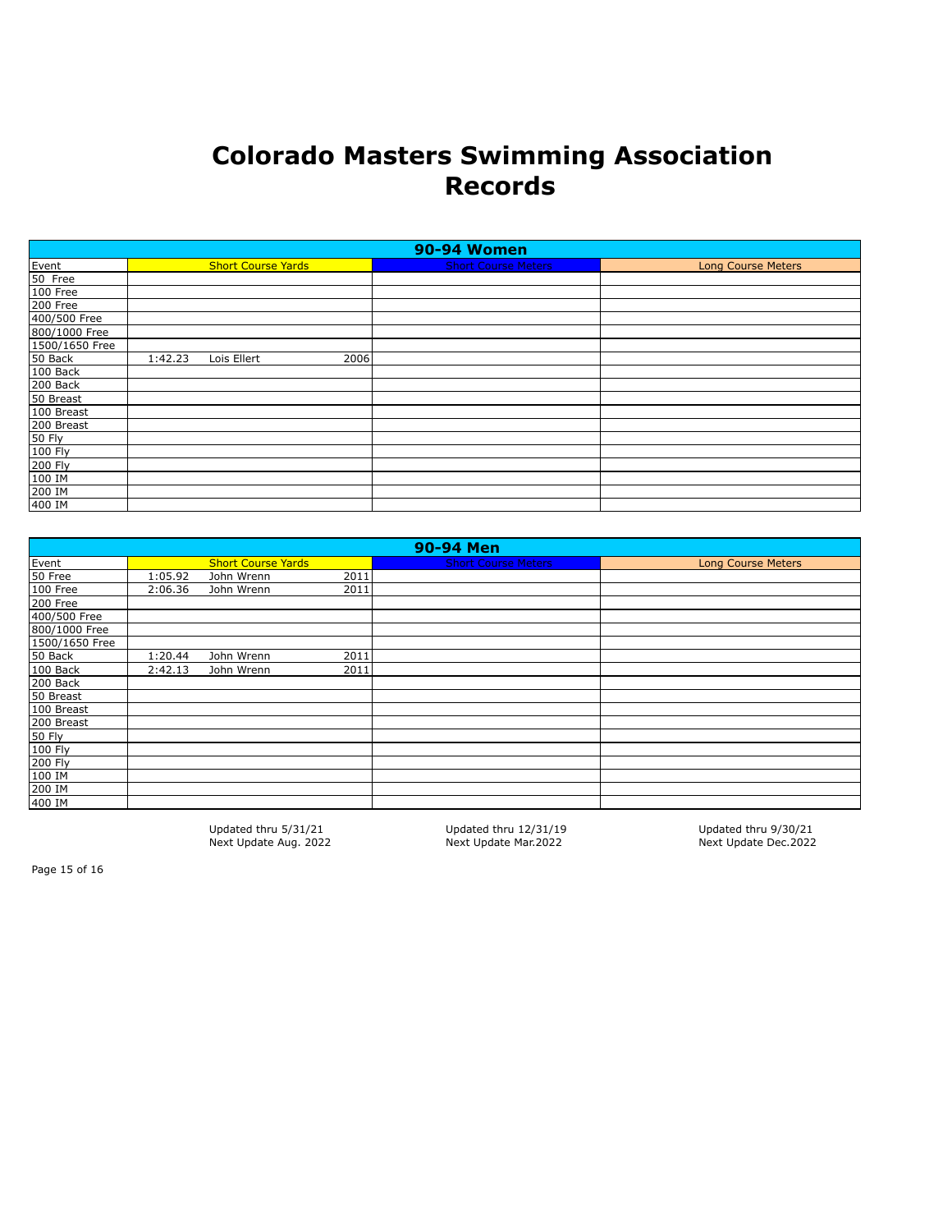| 90-94 Women    |         |                           |      |                            |                           |  |  |
|----------------|---------|---------------------------|------|----------------------------|---------------------------|--|--|
| Event          |         | <b>Short Course Yards</b> |      | <b>Short Course Meters</b> | <b>Long Course Meters</b> |  |  |
| 50 Free        |         |                           |      |                            |                           |  |  |
| 100 Free       |         |                           |      |                            |                           |  |  |
| 200 Free       |         |                           |      |                            |                           |  |  |
| 400/500 Free   |         |                           |      |                            |                           |  |  |
| 800/1000 Free  |         |                           |      |                            |                           |  |  |
| 1500/1650 Free |         |                           |      |                            |                           |  |  |
| 50 Back        | 1:42.23 | Lois Ellert               | 2006 |                            |                           |  |  |
| 100 Back       |         |                           |      |                            |                           |  |  |
| 200 Back       |         |                           |      |                            |                           |  |  |
| 50 Breast      |         |                           |      |                            |                           |  |  |
| 100 Breast     |         |                           |      |                            |                           |  |  |
| 200 Breast     |         |                           |      |                            |                           |  |  |
| $50$ Fly       |         |                           |      |                            |                           |  |  |
| 100 Fly        |         |                           |      |                            |                           |  |  |
| 200 Fly        |         |                           |      |                            |                           |  |  |
| 100 IM         |         |                           |      |                            |                           |  |  |
| 200 IM         |         |                           |      |                            |                           |  |  |
| 400 IM         |         |                           |      |                            |                           |  |  |

| 90-94 Men      |         |                           |      |                            |                           |  |  |
|----------------|---------|---------------------------|------|----------------------------|---------------------------|--|--|
| Event          |         | <b>Short Course Yards</b> |      | <b>Short Course Meters</b> | <b>Long Course Meters</b> |  |  |
| 50 Free        | 1:05.92 | John Wrenn                | 2011 |                            |                           |  |  |
| 100 Free       | 2:06.36 | John Wrenn                | 2011 |                            |                           |  |  |
| 200 Free       |         |                           |      |                            |                           |  |  |
| 400/500 Free   |         |                           |      |                            |                           |  |  |
| 800/1000 Free  |         |                           |      |                            |                           |  |  |
| 1500/1650 Free |         |                           |      |                            |                           |  |  |
| 50 Back        | 1:20.44 | John Wrenn                | 2011 |                            |                           |  |  |
| 100 Back       | 2:42.13 | John Wrenn                | 2011 |                            |                           |  |  |
| 200 Back       |         |                           |      |                            |                           |  |  |
| 50 Breast      |         |                           |      |                            |                           |  |  |
| 100 Breast     |         |                           |      |                            |                           |  |  |
| 200 Breast     |         |                           |      |                            |                           |  |  |
| 50 Fly         |         |                           |      |                            |                           |  |  |
| 100 Fly        |         |                           |      |                            |                           |  |  |
| 200 Fly        |         |                           |      |                            |                           |  |  |
| 100 IM         |         |                           |      |                            |                           |  |  |
| 200 IM         |         |                           |      |                            |                           |  |  |
| 400 IM         |         |                           |      |                            |                           |  |  |

Updated thru 5/31/21 Updated thru 12/31/19 Updated thru 9/30/21 Next Update Aug. 2022

Page 15 of 16